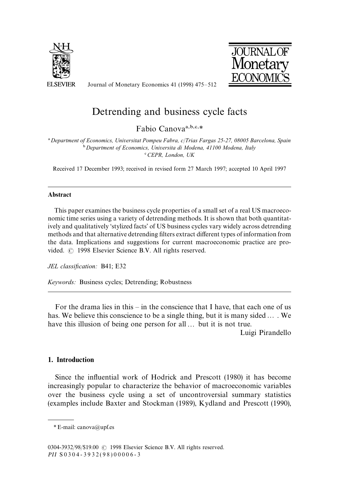



Journal of Monetary Economics 41 (1998) 475*—*512

# Detrending and business cycle facts

Fabio Canova<sup>a,b,c,\*</sup>

! *Department of Economics, Universitat Pompeu Fabra, c*/*Trias Fargas 25-27, 08005 Barcelona, Spain* " *Department of Economics, Universita di Modena, 41100 Modena, Italy* <sup>e</sup> CEPR, London, UK

Received 17 December 1993; received in revised form 27 March 1997; accepted 10 April 1997

## **Abstract**

This paper examines the business cycle properties of a small set of a real US macroeconomic time series using a variety of detrending methods. It is shown that both quantitatively and qualitatively 'stylized facts' of US business cycles vary widely across detrending methods and that alternative detrending filters extract different types of information from the data. Implications and suggestions for current macroeconomic practice are provided.  $\odot$  1998 Elsevier Science B.V. All rights reserved.

*JEL classification:* B41; E32

*Keywords:* Business cycles; Detrending; Robustness

For the drama lies in this *—* in the conscience that I have, that each one of us has. We believe this conscience to be a single thing, but it is many sided  $\dots$ . We have this illusion of being one person for all ... but it is not true.

Luigi Pirandello

# 1. Introduction

Since the influential work of Hodrick and Prescott (1980) it has become increasingly popular to characterize the behavior of macroeconomic variables over the business cycle using a set of uncontroversial summary statistics (examples include Baxter and Stockman (1989), Kydland and Prescott (1990),

*<sup>\*</sup>*E-mail: canova@upf.es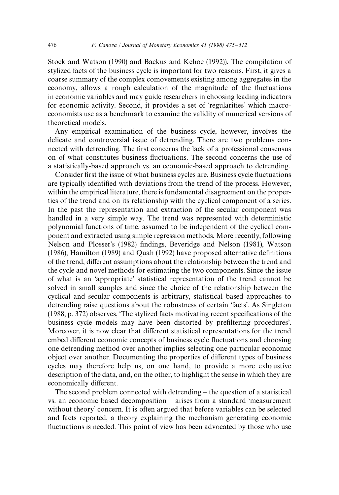Stock and Watson (1990) and Backus and Kehoe (1992)). The compilation of stylized facts of the business cycle is important for two reasons. First, it gives a coarse summary of the complex comovements existing among aggregates in the economy, allows a rough calculation of the magnitude of the fluctuations in economic variables and may guide researchers in choosing leading indicators for economic activity. Second, it provides a set of 'regularities' which macroeconomists use as a benchmark to examine the validity of numerical versions of theoretical models.

Any empirical examination of the business cycle, however, involves the delicate and controversial issue of detrending. There are two problems connected with detrending. The first concerns the lack of a professional consensus on of what constitutes business fluctuations. The second concerns the use of a statistically-based approach vs. an economic-based approach to detrending.

Consider first the issue of what business cycles are. Business cycle fluctuations are typically identified with deviations from the trend of the process. However, within the empirical literature, there is fundamental disagreement on the properties of the trend and on its relationship with the cyclical component of a series. In the past the representation and extraction of the secular component was handled in a very simple way. The trend was represented with deterministic polynomial functions of time, assumed to be independent of the cyclical component and extracted using simple regression methods. More recently, following Nelson and Plosser's (1982) findings, Beveridge and Nelson (1981), Watson (1986), Hamilton (1989) and Quah (1992) have proposed alternative definitions of the trend, different assumptions about the relationship between the trend and the cycle and novel methods for estimating the two components. Since the issue of what is an 'appropriate' statistical representation of the trend cannot be solved in small samples and since the choice of the relationship between the cyclical and secular components is arbitrary, statistical based approaches to detrending raise questions about the robustness of certain 'facts'. As Singleton (1988, p. 372) observes, 'The stylized facts motivating recent specifications of the business cycle models may have been distorted by prefiltering procedures'. Moreover, it is now clear that different statistical representations for the trend embed different economic concepts of business cycle fluctuations and choosing one detrending method over another implies selecting one particular economic object over another. Documenting the properties of different types of business cycles may therefore help us, on one hand, to provide a more exhaustive description of the data, and, on the other, to highlight the sense in which they are economically different.

The second problem connected with detrending *—* the question of a statistical vs. an economic based decomposition *—* arises from a standard 'measurement without theory' concern. It is often argued that before variables can be selected and facts reported, a theory explaining the mechanism generating economic fluctuations is needed. This point of view has been advocated by those who use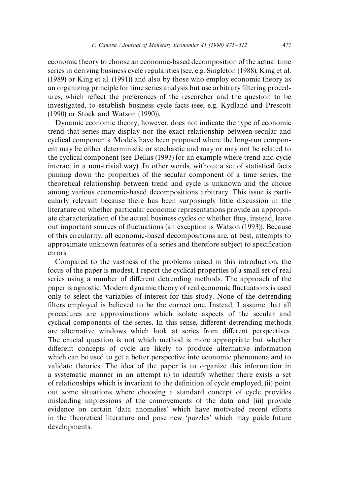economic theory to choose an economic-based decomposition of the actual time series in deriving business cycle regularities (see, e.g. Singleton (1988), King et al. (1989) or King et al. (1991)) and also by those who employ economic theory as an organizing principle for time series analysis but use arbitrary filtering procedures, which reflect the preferences of the researcher and the question to be investigated, to establish business cycle facts (see, e.g. Kydland and Prescott (1990) or Stock and Watson (1990)).

Dynamic economic theory, however, does not indicate the type of economic trend that series may display nor the exact relationship between secular and cyclical components. Models have been proposed where the long-run component may be either deterministic or stochastic and may or may not be related to the cyclical component (see Dellas (1993) for an example where trend and cycle interact in a non-trivial way). In other words, without a set of statistical facts pinning down the properties of the secular component of a time series, the theoretical relationship between trend and cycle is unknown and the choice among various economic-based decompositions arbitrary. This issue is particularly relevant because there has been surprisingly little discussion in the literature on whether particular economic representations provide an appropriate characterization of the actual business cycles or whether they, instead, leave out important sources of fluctuations (an exception is Watson (1993)). Because of this circularity, all economic-based decompositions are, at best, attempts to approximate unknown features of a series and therefore subject to specification errors.

Compared to the vastness of the problems raised in this introduction, the focus of the paper is modest. I report the cyclical properties of a small set of real series using a number of different detrending methods. The approach of the paper is agnostic. Modern dynamic theory of real economic fluctuations is used only to select the variables of interest for this study. None of the detrending filters employed is believed to be the correct one. Instead, I assume that all procedures are approximations which isolate aspects of the secular and cyclical components of the series. In this sense, different detrending methods are alternative windows which look at series from different perspectives. The crucial question is not which method is more appropriate but whether different concepts of cycle are likely to produce alternative information which can be used to get a better perspective into economic phenomena and to validate theories. The idea of the paper is to organize this information in a systematic manner in an attempt (i) to identify whether there exists a set of relationships which is invariant to the definition of cycle employed, (ii) point out some situations where choosing a standard concept of cycle provides misleading impressions of the comovements of the data and (iii) provide evidence on certain 'data anomalies' which have motivated recent efforts in the theoretical literature and pose new 'puzzles' which may guide future developments.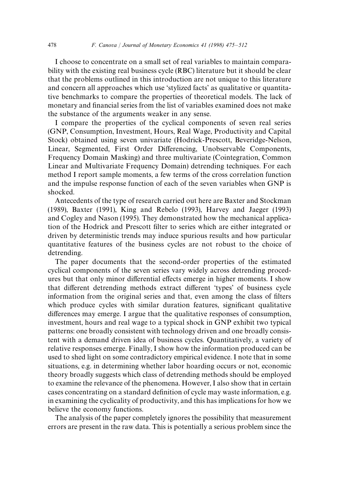I choose to concentrate on a small set of real variables to maintain comparability with the existing real business cycle (RBC) literature but it should be clear that the problems outlined in this introduction are not unique to this literature and concern all approaches which use 'stylized facts' as qualitative or quantitative benchmarks to compare the properties of theoretical models. The lack of monetary and financial series from the list of variables examined does not make the substance of the arguments weaker in any sense.

I compare the properties of the cyclical components of seven real series (GNP, Consumption, Investment, Hours, Real Wage, Productivity and Capital Stock) obtained using seven univariate (Hodrick-Prescott, Beveridge-Nelson, Linear, Segmented, First Order Differencing, Unobservable Components, Frequency Domain Masking) and three multivariate (Cointegration, Common Linear and Multivariate Frequency Domain) detrending techniques. For each method I report sample moments, a few terms of the cross correlation function and the impulse response function of each of the seven variables when GNP is shocked.

Antecedents of the type of research carried out here are Baxter and Stockman (1989), Baxter (1991), King and Rebelo (1993), Harvey and Jaeger (1993) and Cogley and Nason (1995). They demonstrated how the mechanical application of the Hodrick and Prescott filter to series which are either integrated or driven by deterministic trends may induce spurious results and how particular quantitative features of the business cycles are not robust to the choice of detrending.

The paper documents that the second-order properties of the estimated cyclical components of the seven series vary widely across detrending procedures but that only minor differential effects emerge in higher moments. I show that different detrending methods extract different 'types' of business cycle information from the original series and that, even among the class of filters which produce cycles with similar duration features, significant qualitative differences may emerge. I argue that the qualitative responses of consumption, investment, hours and real wage to a typical shock in GNP exhibit two typical patterns: one broadly consistent with technology driven and one broadly consistent with a demand driven idea of business cycles. Quantitatively, a variety of relative responses emerge. Finally, I show how the information produced can be used to shed light on some contradictory empirical evidence. I note that in some situations, e.g. in determining whether labor hoarding occurs or not, economic theory broadly suggests which class of detrending methods should be employed to examine the relevance of the phenomena. However, I also show that in certain cases concentrating on a standard definition of cycle may waste information, e.g. in examining the cyclicality of productivity, and this has implications for how we believe the economy functions.

The analysis of the paper completely ignores the possibility that measurement errors are present in the raw data. This is potentially a serious problem since the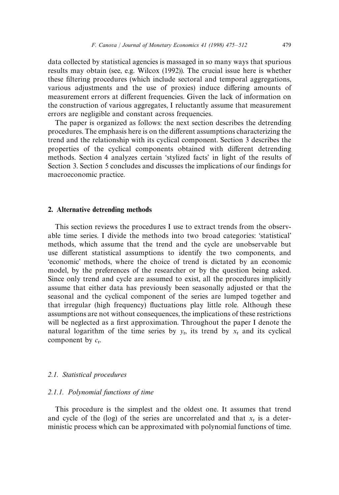data collected by statistical agencies is massaged in so many ways that spurious results may obtain (see, e.g. Wilcox (1992)). The crucial issue here is whether these filtering procedures (which include sectoral and temporal aggregations, various adjustments and the use of proxies) induce differing amounts of measurement errors at different frequencies. Given the lack of information on the construction of various aggregates, I reluctantly assume that measurement errors are negligible and constant across frequencies.

The paper is organized as follows: the next section describes the detrending procedures. The emphasis here is on the different assumptions characterizing the trend and the relationship with its cyclical component. Section 3 describes the properties of the cyclical components obtained with different detrending methods. Section 4 analyzes certain 'stylized facts' in light of the results of Section 3. Section 5 concludes and discusses the implications of our findings for macroeconomic practice.

#### 2. Alternative detrending methods

This section reviews the procedures I use to extract trends from the observable time series. I divide the methods into two broad categories: 'statistical' methods, which assume that the trend and the cycle are unobservable but use different statistical assumptions to identify the two components, and 'economic' methods, where the choice of trend is dictated by an economic model, by the preferences of the researcher or by the question being asked. Since only trend and cycle are assumed to exist, all the procedures implicitly assume that either data has previously been seasonally adjusted or that the seasonal and the cyclical component of the series are lumped together and that irregular (high frequency) fluctuations play little role. Although these assumptions are not without consequences, the implications of these restrictions will be neglected as a first approximation. Throughout the paper I denote the natural logarithm of the time series by  $y_t$ , its trend by  $x_t$  and its cyclical component by  $c_t$ .

#### *2.1. Statistical procedures*

#### *2.1.1. Polynomial functions of time*

This procedure is the simplest and the oldest one. It assumes that trend and cycle of the (log) of the series are uncorrelated and that  $x_t$  is a deterministic process which can be approximated with polynomial functions of time.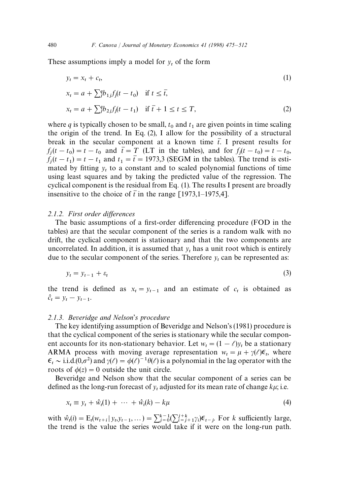These assumptions imply a model for  $y_t$  of the form

$$
y_{t} = x_{t} + c_{t},
$$
  
\n
$$
x_{t} = a + \sum_{j}^{q} b_{1j} f_{j} (t - t_{0}) \text{ if } t \leq \bar{t},
$$
  
\n
$$
x_{t} = a + \sum_{j}^{q} b_{2j} f_{j} (t - t_{1}) \text{ if } \bar{t} + 1 \leq t \leq T,
$$
\n(2)

where *q* is typically chosen to be small,  $t_0$  and  $t_1$  are given points in time scaling the origin of the trend. In Eq. (2), I allow for the possibility of a structural break in the secular component at a known time  $\bar{t}$ . I present results for  $f_j(t - t_0) = t - t_0$  and  $\bar{t} = T$  (LT in the tables), and for  $f_j(t - t_0) = t - t_0$ ,  $f_j(t - t_1) = t - t_1$  and  $t_1 = \overline{t} = 1973.3$  (SEGM in the tables). The trend is estimated by fitting  $y_t$  to a constant and to scaled polynomial functions of time using least squares and by taking the predicted value of the regression. The cyclical component is the residual from Eq. (1). The results I present are broadly insensitive to the choice of  $\bar{t}$  in the range [1973,1–1975,4].

## *2.1.2. First order differences*

The basic assumptions of a first-order differencing procedure (FOD in the tables) are that the secular component of the series is a random walk with no drift, the cyclical component is stationary and that the two components are uncorrelated. In addition, it is assumed that  $y_t$  has a unit root which is entirely due to the secular component of the series. Therefore  $y_t$  can be represented as:

$$
y_t = y_{t-1} + \varepsilon_t \tag{3}
$$

the trend is defined as  $x_t = y_{t-1}$  and an estimate of  $c_t$  is obtained as  $\hat{c}_t = y_t - y_{t-1}.$ 

#### *2.1.3. Beveridge and Nelson*'*s procedure*

The key identifying assumption of Beveridge and Nelson's (1981) procedure is that the cyclical component of the series is stationary while the secular component accounts for its non-stationary behavior. Let  $w_t = (1 - \ell)y_t$  be a stationary ARMA process with moving average representation  $w_t = \mu + \gamma(\ell)\epsilon_t$ , where  $\epsilon_t \sim$  i.i.d.(0, $\sigma^2$ ) and  $\gamma(\ell) = \phi(\ell)^{-1}\theta(\ell)$  is a polynomial in the lag operator with the roots of  $\phi(z) = 0$  outside the unit circle.

Beveridge and Nelson show that the secular component of a series can be defined as the long-run forecast of  $y_t$  adjusted for its mean rate of change  $k\mu$ ; i.e.

$$
x_t \equiv y_t + \hat{w}_t(1) + \cdots + \hat{w}_t(k) - k\mu \tag{4}
$$

with  $\hat{w}_t(i) = \mathbb{E}_t(w_{t+i} | y_t, y_{t-1}, \dots) = \sum_{j=0}^{k-1} (\sum_{i=j+1}^{j+k} \gamma_i) \epsilon_{t-j}$ . For *k* sufficiently large, the trend is the value the series would take if it were on the long-run path.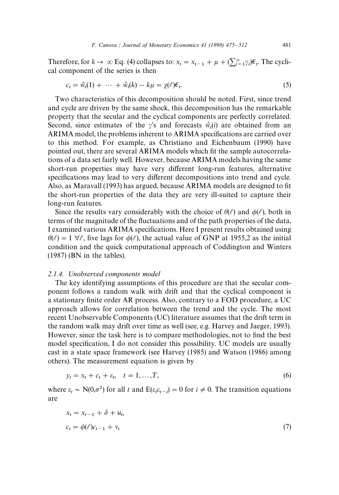Therefore, for  $k \to \infty$  Eq. (4) collapses to:  $x_t = x_{t-1} + \mu + (\sum_{i=1}^{\infty} \gamma_i)\epsilon_t$ . The cyclical component of the series is then

$$
c_t = \hat{w}_t(1) + \cdots + \hat{w}_t(k) - k\mu = \chi(\ell)\epsilon_t.
$$
 (5)

Two characteristics of this decomposition should be noted. First, since trend and cycle are driven by the same shock, this decomposition has the remarkable property that the secular and the cyclical components are perfectly correlated. Second, since estimates of the  $\gamma$ 's and forecasts  $\hat{w}_t(i)$  are obtained from an ARIMA model, the problems inherent to ARIMA specifications are carried over to this method. For example, as Christiano and Eichenbaum (1990) have pointed out, there are several ARIMA models which fit the sample autocorrelations of a data set fairly well. However, because ARIMA models having the same short-run properties may have very different long-run features, alternative specifications may lead to very different decompositions into trend and cycle. Also, as Maravall (1993) has argued, because ARIMA models are designed to fit the short-run properties of the data they are very ill-suited to capture their long-run features.

Since the results vary considerably with the choice of  $\theta(\ell)$  and  $\phi(\ell)$ , both in terms of the magnitude of the fluctuations and of the path properties of the data, I examined various ARIMA specifications. Here I present results obtained using  $\theta(\ell) = 1 \ \forall \ell$ , five lags for  $\phi(\ell)$ , the actual value of GNP at 1955,2 as the initial condition and the quick computational approach of Coddington and Winters (1987) (BN in the tables).

#### *2.1.4. Unobserved components model*

The key identifying assumptions of this procedure are that the secular component follows a random walk with drift and that the cyclical component is a stationary finite order AR process. Also, contrary to a FOD procedure, a UC approach allows for correlation between the trend and the cycle. The most recent Unobservable Components (UC) literature assumes that the drift term in the random walk may drift over time as well (see, e.g. Harvey and Jaeger, 1993). However, since the task here is to compare methodologies, not to find the best model specification, I do not consider this possibility. UC models are usually cast in a state space framework (see Harvey (1985) and Watson (1986) among others). The measurement equation is given by

$$
y_t = x_t + c_t + \varepsilon_b \quad t = 1, \dots, T,
$$
\n<sup>(6)</sup>

where  $\varepsilon_t \sim N(0,\sigma^2)$  for all *t* and  $E(\varepsilon_t \varepsilon_{t-i}) = 0$  for  $i \neq 0$ . The transition equations are

$$
x_t = x_{t-1} + \delta + u_t,
$$
  
\n
$$
c_t = \phi(\ell)c_{t-1} + v_t
$$
\n(7)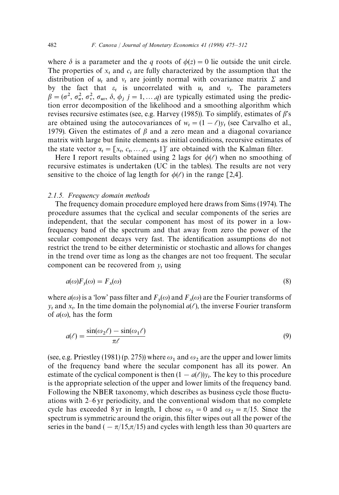where  $\delta$  is a parameter and the *q* roots of  $\phi(z) = 0$  lie outside the unit circle. The properties of  $x_t$  and  $c_t$  are fully characterized by the assumption that the distribution of  $u_t$  and  $v_t$  are jointly normal with covariance matrix  $\Sigma$  and by the fact that  $\varepsilon_t$  is uncorrelated with  $u_t$  and  $v_t$ . The parameters  $\beta = (\sigma^2, \sigma_u^2, \sigma_v^2, \sigma_{uv}, \delta, \phi_j \; j = 1, \dots, q)$  are typically estimated using the predic- $\phi = (0, 0_u, 0_v, 0_w, 0, \varphi_j) = 1, \dots, q$  are typically estimated using the predic-<br>tion error decomposition of the likelihood and a smoothing algorithm which revises recursive estimates (see, e.g. Harvey (1985)). To simplify, estimates of  $\beta$ 's are obtained using the autocovariances of  $w_t = (1 - \ell)y_t$  (see Carvalho et al., 1979). Given the estimates of  $\beta$  and a zero mean and a diagonal covariance matrix with large but finite elements as initial conditions, recursive estimates of the state vector  $\alpha_t = [x_t, c_t, ..., c_{t-q}, 1]$  are obtained with the Kalman filter.

Here I report results obtained using 2 lags for  $\phi(\ell)$  when no smoothing of recursive estimates is undertaken (UC in the tables). The results are not very sensitive to the choice of lag length for  $\phi(\ell)$  in the range [2,4].

## *2.1.5. Frequency domain methods*

The frequency domain procedure employed here draws from Sims (1974). The procedure assumes that the cyclical and secular components of the series are independent, that the secular component has most of its power in a lowfrequency band of the spectrum and that away from zero the power of the secular component decays very fast. The identification assumptions do not restrict the trend to be either deterministic or stochastic and allows for changes in the trend over time as long as the changes are not too frequent. The secular component can be recovered from  $y_t$  using

$$
a(\omega)F_{y}(\omega) = F_{x}(\omega) \tag{8}
$$

where  $a(\omega)$  is a 'low' pass filter and  $F_y(\omega)$  and  $F_x(\omega)$  are the Fourier transforms of  $y_t$  and  $x_t$ . In the time domain the polynomial  $a(\ell)$ , the inverse Fourier transform of  $a(\omega)$ , has the form

$$
a(\ell) = \frac{\sin(\omega_2 \ell) - \sin(\omega_1 \ell)}{\pi \ell} \tag{9}
$$

(see, e.g. Priestley (1981) (p. 275)) where  $\omega_1$  and  $\omega_2$  are the upper and lower limits of the frequency band where the secular component has all its power. An estimate of the cyclical component is then  $(1 - a(\ell))y_t$ . The key to this procedure is the appropriate selection of the upper and lower limits of the frequency band. Following the NBER taxonomy, which describes as business cycle those fluctuations with 2*—*6 yr periodicity, and the conventional wisdom that no complete cycle has exceeded 8 yr in length, I chose  $\omega_1 = 0$  and  $\omega_2 = \pi/15$ . Since the spectrum is symmetric around the origin, this filter wipes out all the power of the series in the band ( $-\pi/15,\pi/15$ ) and cycles with length less than 30 quarters are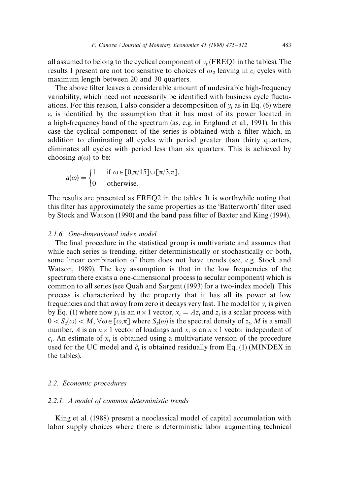all assumed to belong to the cyclical component of  $y_t$  (FREQ1 in the tables). The results I present are not too sensitive to choices of  $\omega_2$  leaving in  $c_t$  cycles with maximum length between 20 and 30 quarters.

The above filter leaves a considerable amount of undesirable high-frequency variability, which need not necessarily be identified with business cycle fluctuations. For this reason, I also consider a decomposition of  $y_t$  as in Eq. (6) where  $\varepsilon_t$  is identified by the assumption that it has most of its power located in a high-frequency band of the spectrum (as, e.g. in Englund et al., 1991). In this case the cyclical component of the series is obtained with a filter which, in addition to eliminating all cycles with period greater than thirty quarters, eliminates all cycles with period less than six quarters. This is achieved by choosing  $a(\omega)$  to be:

$$
a(\omega) = \begin{cases} 1 & \text{if } \omega \in [0, \pi/15] \cup [\pi/3, \pi], \\ 0 & \text{otherwise.} \end{cases}
$$

The results are presented as FREQ2 in the tables. It is worthwhile noting that this filter has approximately the same properties as the 'Batterworth' filter used by Stock and Watson (1990) and the band pass filter of Baxter and King (1994).

# *2.1.6. One-dimensional index model*

The final procedure in the statistical group is multivariate and assumes that while each series is trending, either deterministically or stochastically or both, some linear combination of them does not have trends (see, e.g. Stock and Watson, 1989). The key assumption is that in the low frequencies of the spectrum there exists a one-dimensional process (a secular component) which is common to all series (see Quah and Sargent (1993) for a two-index model). This process is characterized by the property that it has all its power at low frequencies and that away from zero it decays very fast. The model for  $y_t$  is given by Eq. (1) where now  $y_t$  is an  $n \times 1$  vector,  $x_t = Az_t$  and  $z_t$  is a scalar process with  $0 < S_z(\omega) < M$ , ∀ω∈ [ $\bar{\omega}, \pi$ ] where  $S_z(\omega)$  is the spectral density of *z*<sub>t</sub>, *M* is a small number, *A* is an  $n \times 1$  vector of loadings and  $x_t$  is an  $n \times 1$  vector independent of  $c_t$ . An estimate of  $x_t$  is obtained using a multivariate version of the procedure used for the UC model and  $\hat{c}_t$  is obtained residually from Eq. (1) (MINDEX in the tables).

#### *2.2. Economic procedures*

# *2.2.1. A model of common deterministic trends*

King et al. (1988) present a neoclassical model of capital accumulation with labor supply choices where there is deterministic labor augmenting technical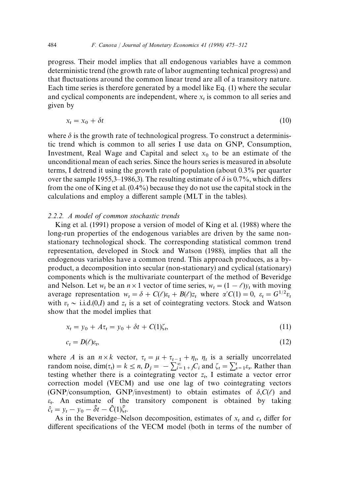progress. Their model implies that all endogenous variables have a common deterministic trend (the growth rate of labor augmenting technical progress) and that fluctuations around the common linear trend are all of a transitory nature. Each time series is therefore generated by a model like Eq. (1) where the secular and cyclical components are independent, where  $x_t$  is common to all series and given by

$$
x_t = x_0 + \delta t \tag{10}
$$

where  $\delta$  is the growth rate of technological progress. To construct a deterministic trend which is common to all series I use data on GNP, Consumption, Investment, Real Wage and Capital and select  $x_0$  to be an estimate of the unconditional mean of each series. Since the hours series is measured in absolute terms, I detrend it using the growth rate of population (about 0.3% per quarter over the sample 1955,3–1986,3). The resulting estimate of  $\delta$  is 0.7%, which differs from the one of King et al. (0.4%) because they do not use the capital stock in the calculations and employ a different sample (MLT in the tables).

## *2.2.2. A model of common stochastic trends*

King et al. (1991) propose a version of model of King et al. (1988) where the long-run properties of the endogenous variables are driven by the same nonstationary technological shock. The corresponding statistical common trend representation, developed in Stock and Watson (1988), implies that all the endogenous variables have a common trend. This approach produces, as a byproduct, a decomposition into secular (non-stationary) and cyclical (stationary) components which is the multivariate counterpart of the method of Beveridge and Nelson. Let  $w_t$  be an  $n \times 1$  vector of time series,  $w_t = (1 - \ell)y_t$  with moving average representation  $w_t = \delta + C(\ell)\varepsilon_t + B(\ell)z_t$  where  $\alpha'C(1) = 0$ ,  $\varepsilon_t = G^{1/2}v_t$ with  $v_t \sim$  i.i.d.(0,*I*) and  $z_t$  is a set of cointegrating vectors. Stock and Watson show that the model implies that

$$
x_t = y_0 + A\tau_t = y_0 + \delta t + C(1)\zeta_t, \tag{11}
$$

$$
c_t = D(\ell)\varepsilon_t, \tag{12}
$$

where *A* is an  $n \times k$  vector,  $\tau_t = \mu + \tau_{t-1} + \eta_t$ ,  $\eta_t$  is a serially uncorrelated random noise, dim $(\tau_t) = k \le n$ ,  $D_j = -\sum_{i=1}^{\infty} \tau_i C_i$  and  $\zeta_t = \sum_{s=1}^t \varepsilon_s$ . Rather than testing whether there is a cointegrating vector  $z_t$ , I estimate a vector error correction model (VECM) and use one lag of two cointegrating vectors (GNP/consumption, GNP/investment) to obtain estimates of  $\delta$ , $C(\ell)$  and  $\varepsilon_t$ . An estimate of the transitory component is obtained by taking  $\hat{c}_t = y_t - y_0 - \hat{\delta}t - \hat{C}(1)\hat{\zeta}_t.$ 

 $\overline{\bf{a}}_t = y_t - y_0 - \overline{b}t - C(1)s_t$ .<br>As in the Beveridge–Nelson decomposition, estimates of  $x_t$  and  $c_t$  differ for different specifications of the VECM model (both in terms of the number of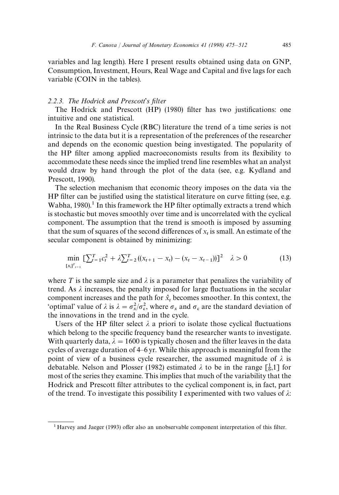variables and lag length). Here I present results obtained using data on GNP, Consumption, Investment, Hours, Real Wage and Capital and five lags for each variable (COIN in the tables).

#### *2.2.3. The Hodrick and Prescott*'*s filter*

The Hodrick and Prescott (HP) (1980) filter has two justifications: one intuitive and one statistical.

In the Real Business Cycle (RBC) literature the trend of a time series is not intrinsic to the data but it is a representation of the preferences of the researcher and depends on the economic question being investigated. The popularity of the HP filter among applied macroeconomists results from its flexibility to accommodate these needs since the implied trend line resembles what an analyst would draw by hand through the plot of the data (see, e.g. Kydland and Prescott, 1990).

The selection mechanism that economic theory imposes on the data via the HP filter can be justified using the statistical literature on curve fitting (see, e.g. Wabha,  $1980$ .<sup>1</sup> In this framework the HP filter optimally extracts a trend which is stochastic but moves smoothly over time and is uncorrelated with the cyclical component. The assumption that the trend is smooth is imposed by assuming that the sum of squares of the second differences of  $x_t$  is small. An estimate of the secular component is obtained by minimizing:

$$
\min_{\{x_t\}_{t=1}^T} \left[ \sum_{t=1}^T c_t^2 + \lambda \sum_{t=2}^T ((x_{t+1} - x_t) - (x_t - x_{t-1})) \right]^2 \quad \lambda > 0 \tag{13}
$$

where T is the sample size and  $\lambda$  is a parameter that penalizes the variability of trend. As  $\lambda$  increases, the penalty imposed for large fluctuations in the secular component increases and the path for  $\hat{x}_t$  becomes smoother. In this context, the 'optimal' value of  $\lambda$  is  $\lambda = \sigma_x^2/\sigma_c^2$ , where  $\sigma_x$  and  $\sigma_c$  are the standard deviation of the innovations in the trend and in the cycle.

Users of the HP filter select  $\lambda$  a priori to isolate those cyclical fluctuations which belong to the specific frequency band the researcher wants to investigate. With quarterly data,  $\lambda = 1600$  is typically chosen and the filter leaves in the data cycles of average duration of 4*—*6 yr. While this approach is meaningful from the point of view of a business cycle researcher, the assumed magnitude of  $\lambda$  is debatable. Nelson and Plosser (1982) estimated  $\lambda$  to be in the range  $[\frac{1}{6},1]$  for debatable. Netson and Prosset (1982) estimated  $\lambda$  to be in the range  $[\xi, 1]$  for most of the series they examine. This implies that much of the variability that the Hodrick and Prescott filter attributes to the cyclical component is, in fact, part of the trend. To investigate this possibility I experimented with two values of  $\lambda$ :

<sup>&</sup>lt;sup>1</sup> Harvey and Jaeger (1993) offer also an unobservable component interpretation of this filter.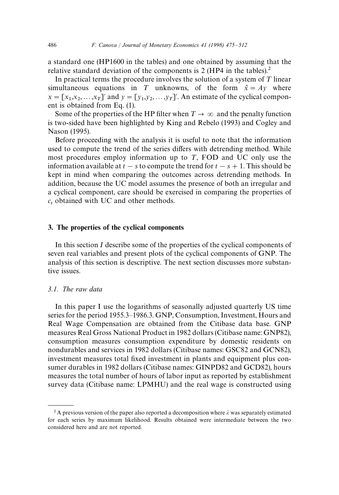a standard one (HP1600 in the tables) and one obtained by assuming that the relative standard deviation of the components is 2 (HP4 in the tables).<sup>2</sup>

In practical terms the procedure involves the solution of a system of  $T$  linear simultaneous equations in T unknowns, of the form  $\hat{x} = Ay$  where  $x = [x_1, x_2, \dots, x_T]$  and  $y = [y_1, y_2, \dots, y_T]$ . An estimate of the cyclical component is obtained from Eq. (1).

Some of the properties of the HP filter when  $T \to \infty$  and the penalty function is two-sided have been highlighted by King and Rebelo (1993) and Cogley and Nason (1995).

Before proceeding with the analysis it is useful to note that the information used to compute the trend of the series differs with detrending method. While most procedures employ information up to  $T$ , FOD and UC only use the information available at  $t - s$  to compute the trend for  $t - s + 1$ . This should be kept in mind when comparing the outcomes across detrending methods. In addition, because the UC model assumes the presence of both an irregular and a cyclical component, care should be exercised in comparing the properties of  $c_t$  obtained with UC and other methods.

## 3. The properties of the cyclical components

In this section *I* describe some of the properties of the cyclical components of seven real variables and present plots of the cyclical components of GNP. The analysis of this section is descriptive. The next section discusses more substantive issues.

## *3.1. The raw data*

In this paper I use the logarithms of seasonally adjusted quarterly US time series for the period 1955.3*—*1986.3. GNP, Consumption, Investment, Hours and Real Wage Compensation are obtained from the Citibase data base. GNP measures Real Gross National Product in 1982 dollars (Citibase name: GNP82), consumption measures consumption expenditure by domestic residents on nondurables and services in 1982 dollars (Citibase names: GSC82 and GCN82), investment measures total fixed investment in plants and equipment plus consumer durables in 1982 dollars (Citibase names: GINPD82 and GCD82), hours measures the total number of hours of labor input as reported by establishment survey data (Citibase name: LPMHU) and the real wage is constructed using

<sup>&</sup>lt;sup>2</sup> A previous version of the paper also reported a decomposition where  $\lambda$  was separately estimated for each series by maximum likelihood. Results obtained were intermediate between the two considered here and are not reported.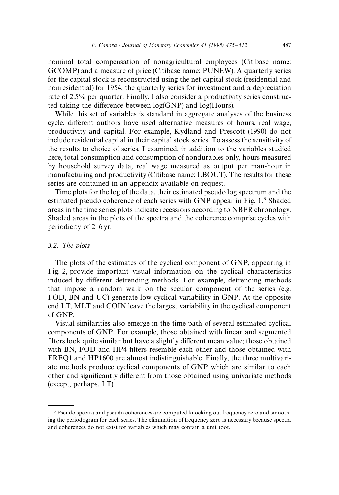nominal total compensation of nonagricultural employees (Citibase name: GCOMP) and a measure of price (Citibase name: PUNEW). A quarterly series for the capital stock is reconstructed using the net capital stock (residential and nonresidential) for 1954, the quarterly series for investment and a depreciation rate of 2.5% per quarter. Finally, I also consider a productivity series constructed taking the difference between log(GNP) and log(Hours).

While this set of variables is standard in aggregate analyses of the business cycle, different authors have used alternative measures of hours, real wage, productivity and capital. For example, Kydland and Prescott (1990) do not include residential capital in their capital stock series. To assess the sensitivity of the results to choice of series, I examined, in addition to the variables studied here, total consumption and consumption of nondurables only, hours measured by household survey data, real wage measured as output per man-hour in manufacturing and productivity (Citibase name: LBOUT). The results for these series are contained in an appendix available on request.

Time plots for the log of the data, their estimated pseudo log spectrum and the estimated pseudo coherence of each series with GNP appear in Fig. 1.<sup>3</sup> Shaded areas in the time series plots indicate recessions according to NBER chronology. Shaded areas in the plots of the spectra and the coherence comprise cycles with periodicity of 2*—*6 yr.

## *3.2. The plots*

The plots of the estimates of the cyclical component of GNP, appearing in Fig. 2, provide important visual information on the cyclical characteristics induced by different detrending methods. For example, detrending methods that impose a random walk on the secular component of the series (e.g. FOD, BN and UC) generate low cyclical variability in GNP. At the opposite end LT, MLT and COIN leave the largest variability in the cyclical component of GNP.

Visual similarities also emerge in the time path of several estimated cyclical components of GNP. For example, those obtained with linear and segmented filters look quite similar but have a slightly different mean value; those obtained with BN, FOD and HP4 filters resemble each other and those obtained with FREQ1 and HP1600 are almost indistinguishable. Finally, the three multivariate methods produce cyclical components of GNP which are similar to each other and significantly different from those obtained using univariate methods (except, perhaps, LT).

<sup>&</sup>lt;sup>3</sup> Pseudo spectra and pseudo coherences are computed knocking out frequency zero and smoothing the periodogram for each series. The elimination of frequency zero is necessary because spectra and coherences do not exist for variables which may contain a unit root.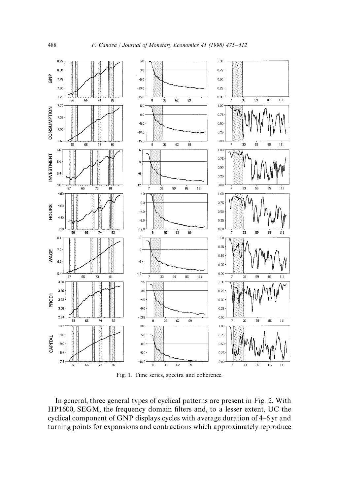

Fig. 1. Time series, spectra and coherence.

In general, three general types of cyclical patterns are present in Fig. 2. With HP1600, SEGM, the frequency domain filters and, to a lesser extent, UC the cyclical component of GNP displays cycles with average duration of 4*—*6 yr and turning points for expansions and contractions which approximately reproduce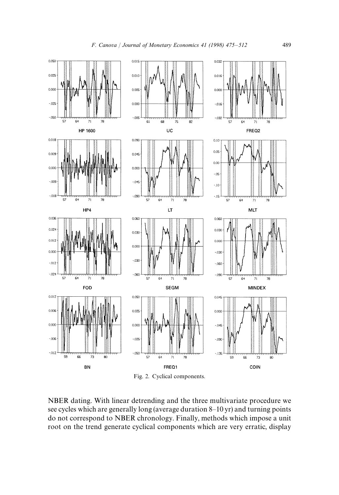

Fig. 2. Cyclical components.

NBER dating. With linear detrending and the three multivariate procedure we see cycles which are generally long (average duration 8*—*10 yr) and turning points do not correspond to NBER chronology. Finally, methods which impose a unit root on the trend generate cyclical components which are very erratic, display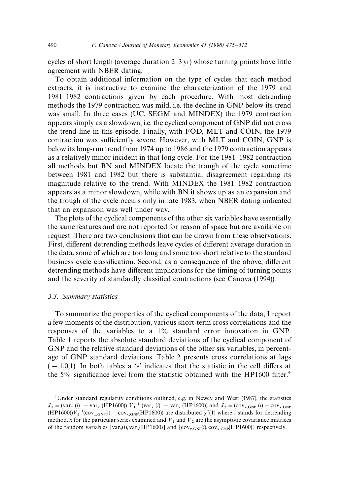cycles of short length (average duration 2*—*3 yr) whose turning points have little agreement with NBER dating.

To obtain additional information on the type of cycles that each method extracts, it is instructive to examine the characterization of the 1979 and 1981*—*1982 contractions given by each procedure. With most detrending methods the 1979 contraction was mild, i.e. the decline in GNP below its trend was small. In three cases (UC, SEGM and MINDEX) the 1979 contraction appears simply as a slowdown, i.e. the cyclical component of GNP did not cross the trend line in this episode. Finally, with FOD, MLT and COIN, the 1979 contraction was sufficiently severe. However, with MLT and COIN, GNP is below its long-run trend from 1974 up to 1986 and the 1979 contraction appears as a relatively minor incident in that long cycle. For the 1981*—*1982 contraction all methods but BN and MINDEX locate the trough of the cycle sometime between 1981 and 1982 but there is substantial disagreement regarding its magnitude relative to the trend. With MINDEX the 1981*—*1982 contraction appears as a minor slowdown, while with BN it shows up as an expansion and the trough of the cycle occurs only in late 1983, when NBER dating indicated that an expansion was well under way.

The plots of the cyclical components of the other six variables have essentially the same features and are not reported for reason of space but are available on request. There are two conclusions that can be drawn from these observations. First, different detrending methods leave cycles of different average duration in the data, some of which are too long and some too short relative to the standard business cycle classification. Second, as a consequence of the above, different detrending methods have different implications for the timing of turning points and the severity of standardly classified contractions (see Canova (1994)).

#### *3.3. Summary statistics*

To summarize the properties of the cyclical components of the data, I report a few moments of the distribution, various short-term cross correlations and the responses of the variables to a 1% standard error innovation in GNP. Table 1 reports the absolute standard deviations of the cyclical component of GNP and the relative standard deviations of the other six variables, in percentage of GNP standard deviations. Table 2 presents cross correlations at lags  $(-1,0,1)$ . In both tables a '\*' indicates that the statistic in the cell differs at the 5% significance level from the statistic obtained with the HP1600 filter.<sup>4</sup>

<sup>4</sup> Under standard regularity conditions outlined, e.g. in Newey and West (1987), the statistics  $J_1 = (var_x (i) - var_x (HP1600)) V_1^{-1} (var_x (i) - var_x (HP1600))$  and  $J_2$  $(HP1600) V_2^{-1}$ (cov<sub>x,GNP</sub>(*i*) – cov<sub>x,GNP</sub>(*HP1600*)) are distributed  $\chi^2$ (1) where *i* stands for detrending method, *x* for the particular series examined and  $V_1$  and  $V_2$  are the asymptotic covariance matrices of the random variables  $[var_x(i), var_x(HP1600)]$  and  $[cov_{x, GNP}(i), cov_{x, GNP}(HP1600)]$  respectively.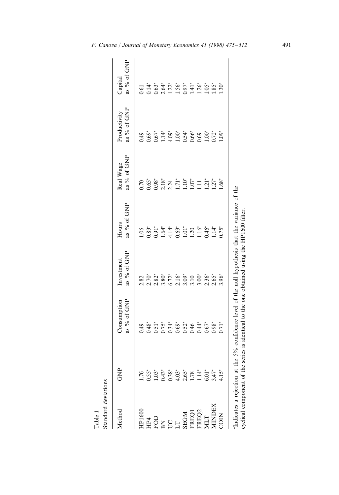| Standard deviations |                                                                                       |                                                                                                                                                                                                 |                           |                      |                            |                                                                             |                                                                                                                                                                                                                                                                                                               |
|---------------------|---------------------------------------------------------------------------------------|-------------------------------------------------------------------------------------------------------------------------------------------------------------------------------------------------|---------------------------|----------------------|----------------------------|-----------------------------------------------------------------------------|---------------------------------------------------------------------------------------------------------------------------------------------------------------------------------------------------------------------------------------------------------------------------------------------------------------|
| Metho               | GNP                                                                                   | as % of GNP<br>Consumption                                                                                                                                                                      | as % of GNP<br>Investment | as % of GNP<br>Hours | as % of GNP<br>Real Wage   | as % of GNP<br>Productivity                                                 | as % of GNP<br>Capital                                                                                                                                                                                                                                                                                        |
| HP1600              | 1.76                                                                                  |                                                                                                                                                                                                 |                           | 66                   | 0.70                       | 0.49                                                                        |                                                                                                                                                                                                                                                                                                               |
|                     | $0.55^{\circ}$                                                                        | $0.49\n0.51\n0.67\n0.73\n0.73\n0.73\n0.74\n0.75\n0.75\n0.75\n0.75\n0.75\n0.75\n0.75\n0.75\n0.75\n0.75\n0.75\n0.75\n0.75\n0.75\n0.75\n0.75\n0.75\n0.75\n0.75\n0.75\n0.75\n0.75\n0.75\n0.75\n0.7$ |                           | $0.89*$              | $0.65$ <sup>*</sup>        |                                                                             | $\begin{array}{c} 0.61 \\ 0.14 \\ 0.63 \\ 0.45 \\ 1.19 \\ 0.97 \\ 0.91 \\ 0.97 \\ 0.91 \\ 0.93 \\ 0.95 \\ 0.85 \\ 1.85 \\ 1.89 \\ 1.89 \\ 1.89 \\ 1.89 \\ 1.89 \\ 1.89 \\ 1.89 \\ 1.89 \\ 1.89 \\ 1.89 \\ 1.89 \\ 1.89 \\ 1.89 \\ 1.89 \\ 1.89 \\ 1.89 \\ 1.89 \\ 1.89 \\ 1.89 \\ 1.89 \\ 1.89 \\ 1.89 \\ 1.$ |
| HP4<br>FOD          |                                                                                       |                                                                                                                                                                                                 |                           |                      | $0.98*$                    |                                                                             |                                                                                                                                                                                                                                                                                                               |
|                     |                                                                                       |                                                                                                                                                                                                 |                           | $0.9144$<br>$0.694$  | $2.34$<br>$2.24$<br>$1.71$ |                                                                             |                                                                                                                                                                                                                                                                                                               |
| ESE<br>E            |                                                                                       |                                                                                                                                                                                                 |                           |                      |                            |                                                                             |                                                                                                                                                                                                                                                                                                               |
|                     |                                                                                       |                                                                                                                                                                                                 |                           |                      |                            |                                                                             |                                                                                                                                                                                                                                                                                                               |
| <b>SEGM</b>         | $\begin{array}{c} 1.03^* \\ 0.43^* \\ 0.38^* \\ 0.40^* \\ 1.78 \\ 1.14^* \end{array}$ |                                                                                                                                                                                                 |                           | $1.01*$              | $1.10*$                    | $0.69^*$<br>$0.67^*$<br>$1.49^*$<br>$0.004$<br>$0.064$<br>$0.66$<br>$0.069$ |                                                                                                                                                                                                                                                                                                               |
|                     |                                                                                       |                                                                                                                                                                                                 |                           | 1.20                 | $1.07*$                    |                                                                             |                                                                                                                                                                                                                                                                                                               |
| FREQ1<br>FREQ2      |                                                                                       |                                                                                                                                                                                                 |                           | $1.16$ <sup>*</sup>  | $\Xi$                      |                                                                             |                                                                                                                                                                                                                                                                                                               |
| MLT                 | $6.01*$                                                                               |                                                                                                                                                                                                 |                           | $0.46*$              | $1.21*$                    | $1.00^{\circ}$                                                              |                                                                                                                                                                                                                                                                                                               |
| <b>MINDEX</b>       | $3.47^*$<br>4.15*                                                                     | $0.98^*$                                                                                                                                                                                        |                           | $1.14$ <sup>*</sup>  | $1.27*$                    | $0.72*$                                                                     |                                                                                                                                                                                                                                                                                                               |
| COIN                |                                                                                       | 0.71                                                                                                                                                                                            | $3.96*$                   | $0.75$ <sup>*</sup>  | $-89.1$                    | $-9$                                                                        | $130*$                                                                                                                                                                                                                                                                                                        |
|                     |                                                                                       | "Indicates a rejection at the 5% confidence level of the null hypothesis that the variance of the                                                                                               |                           |                      |                            |                                                                             |                                                                                                                                                                                                                                                                                                               |

cyclical component of the series is identical to the one obtained using the HP1600 filter.

cyclical component of the series is identical to the one obtained using the HP1600 filter.

Table 1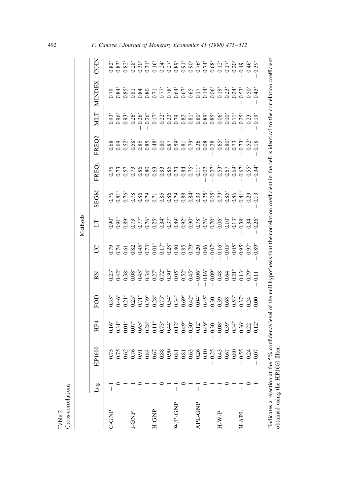|                                                                                                                                                                 |     |        |                                                                                                                                                                                                                                  |     |                                                                                                                                                                                                                                                                                                                                                                                                                                       |    | Methods                                                                                                                                                                                                                                                    |             |              |                   |     |                                                                                                                                                                                                                                                                                                                                                                                                                                                                                                                                                                                                        |      |
|-----------------------------------------------------------------------------------------------------------------------------------------------------------------|-----|--------|----------------------------------------------------------------------------------------------------------------------------------------------------------------------------------------------------------------------------------|-----|---------------------------------------------------------------------------------------------------------------------------------------------------------------------------------------------------------------------------------------------------------------------------------------------------------------------------------------------------------------------------------------------------------------------------------------|----|------------------------------------------------------------------------------------------------------------------------------------------------------------------------------------------------------------------------------------------------------------|-------------|--------------|-------------------|-----|--------------------------------------------------------------------------------------------------------------------------------------------------------------------------------------------------------------------------------------------------------------------------------------------------------------------------------------------------------------------------------------------------------------------------------------------------------------------------------------------------------------------------------------------------------------------------------------------------------|------|
|                                                                                                                                                                 | Lag | HP1600 | HP <sub>4</sub>                                                                                                                                                                                                                  | FOD | $_{\rm BH}$                                                                                                                                                                                                                                                                                                                                                                                                                           | SC | E                                                                                                                                                                                                                                                          | <b>NPGE</b> | <b>FREQ1</b> | FREQ <sub>2</sub> | MLT | <b>MINDEX</b>                                                                                                                                                                                                                                                                                                                                                                                                                                                                                                                                                                                          | COIN |
| <b>D-GNP</b>                                                                                                                                                    |     |        |                                                                                                                                                                                                                                  |     |                                                                                                                                                                                                                                                                                                                                                                                                                                       |    |                                                                                                                                                                                                                                                            |             |              |                   |     |                                                                                                                                                                                                                                                                                                                                                                                                                                                                                                                                                                                                        |      |
|                                                                                                                                                                 |     |        |                                                                                                                                                                                                                                  |     |                                                                                                                                                                                                                                                                                                                                                                                                                                       |    |                                                                                                                                                                                                                                                            |             |              |                   |     |                                                                                                                                                                                                                                                                                                                                                                                                                                                                                                                                                                                                        |      |
|                                                                                                                                                                 |     |        |                                                                                                                                                                                                                                  |     |                                                                                                                                                                                                                                                                                                                                                                                                                                       |    |                                                                                                                                                                                                                                                            |             |              |                   |     |                                                                                                                                                                                                                                                                                                                                                                                                                                                                                                                                                                                                        |      |
| d<br>No-                                                                                                                                                        |     |        | te to to to to the total to the second to the second to the second to the second to the second to the second t<br>The second to the second to the second to the second to the second to the second to the second to the second t |     | $\begin{array}{l} \mathbf{1} & \mathbf{1} & \mathbf{1} & \mathbf{1} & \mathbf{1} & \mathbf{1} \\ \mathbf{1} & \mathbf{1} & \mathbf{1} & \mathbf{1} & \mathbf{1} & \mathbf{1} \\ \mathbf{1} & \mathbf{1} & \mathbf{1} & \mathbf{1} & \mathbf{1} & \mathbf{1} \\ \mathbf{1} & \mathbf{1} & \mathbf{1} & \mathbf{1} & \mathbf{1} & \mathbf{1} \\ \mathbf{1} & \mathbf{1} & \mathbf{1} & \mathbf{1} & \mathbf{1} & \mathbf{1} \\ \mathbf$ |    | $\begin{array}{l} 6,9,9,9\\ 0,9,9,9\\ 0,9,9,9\\ 0,9,9,9\\ 0,9,9,9\\ 0,9,9,9\\ 0,9,9,9\\ 0,9,9,9\\ 0,9,9,9\\ 0,9,9,9\\ 0,9,9,9\\ 0,9,9,9\\ 0,9,9,9\\ 0,9,9,9\\ 0,9,9,9,9\\ 0,9,9,9,9\\ 0,9,9,9,9,9\\ 0,9,9,9,9,9,9\\ 0,9,9,9,9,9,9,9\\ 0,9,9,9,9,9,9,9,9,9$ |             |              |                   |     | $\begin{array}{l} \mathcal{P}_{1} \overset{\bullet}{\sim} \overset{\bullet}{\sim} \overset{\bullet}{\sim} \overset{\bullet}{\sim} \overset{\bullet}{\sim} \overset{\bullet}{\sim} \overset{\bullet}{\sim} \overset{\bullet}{\sim} \overset{\bullet}{\sim} \overset{\bullet}{\sim} \overset{\bullet}{\sim} \overset{\bullet}{\sim} \overset{\bullet}{\sim} \overset{\bullet}{\sim} \overset{\bullet}{\sim} \overset{\bullet}{\sim} \overset{\bullet}{\sim} \overset{\bullet}{\sim} \overset{\bullet}{\sim} \overset{\bullet}{\sim} \overset{\bullet}{\sim} \overset{\bullet}{\sim} \overset{\bullet}{\$ |      |
|                                                                                                                                                                 |     |        |                                                                                                                                                                                                                                  |     |                                                                                                                                                                                                                                                                                                                                                                                                                                       |    |                                                                                                                                                                                                                                                            |             |              |                   |     |                                                                                                                                                                                                                                                                                                                                                                                                                                                                                                                                                                                                        |      |
|                                                                                                                                                                 |     |        |                                                                                                                                                                                                                                  |     |                                                                                                                                                                                                                                                                                                                                                                                                                                       |    |                                                                                                                                                                                                                                                            |             |              |                   |     |                                                                                                                                                                                                                                                                                                                                                                                                                                                                                                                                                                                                        |      |
| <b>EXPEN</b>                                                                                                                                                    |     |        |                                                                                                                                                                                                                                  |     |                                                                                                                                                                                                                                                                                                                                                                                                                                       |    |                                                                                                                                                                                                                                                            |             |              |                   |     |                                                                                                                                                                                                                                                                                                                                                                                                                                                                                                                                                                                                        |      |
|                                                                                                                                                                 |     |        |                                                                                                                                                                                                                                  |     |                                                                                                                                                                                                                                                                                                                                                                                                                                       |    |                                                                                                                                                                                                                                                            |             |              |                   |     |                                                                                                                                                                                                                                                                                                                                                                                                                                                                                                                                                                                                        |      |
|                                                                                                                                                                 |     |        |                                                                                                                                                                                                                                  |     |                                                                                                                                                                                                                                                                                                                                                                                                                                       |    |                                                                                                                                                                                                                                                            |             |              |                   |     |                                                                                                                                                                                                                                                                                                                                                                                                                                                                                                                                                                                                        |      |
| $W/P$ -GNP                                                                                                                                                      |     |        |                                                                                                                                                                                                                                  |     |                                                                                                                                                                                                                                                                                                                                                                                                                                       |    |                                                                                                                                                                                                                                                            |             |              |                   |     |                                                                                                                                                                                                                                                                                                                                                                                                                                                                                                                                                                                                        |      |
|                                                                                                                                                                 |     |        |                                                                                                                                                                                                                                  |     |                                                                                                                                                                                                                                                                                                                                                                                                                                       |    |                                                                                                                                                                                                                                                            |             |              |                   |     |                                                                                                                                                                                                                                                                                                                                                                                                                                                                                                                                                                                                        |      |
|                                                                                                                                                                 |     |        |                                                                                                                                                                                                                                  |     |                                                                                                                                                                                                                                                                                                                                                                                                                                       |    |                                                                                                                                                                                                                                                            |             |              |                   |     |                                                                                                                                                                                                                                                                                                                                                                                                                                                                                                                                                                                                        |      |
| APL-GNP                                                                                                                                                         |     |        |                                                                                                                                                                                                                                  |     |                                                                                                                                                                                                                                                                                                                                                                                                                                       |    |                                                                                                                                                                                                                                                            |             |              |                   |     |                                                                                                                                                                                                                                                                                                                                                                                                                                                                                                                                                                                                        |      |
|                                                                                                                                                                 |     |        |                                                                                                                                                                                                                                  |     |                                                                                                                                                                                                                                                                                                                                                                                                                                       |    |                                                                                                                                                                                                                                                            |             |              |                   |     |                                                                                                                                                                                                                                                                                                                                                                                                                                                                                                                                                                                                        |      |
|                                                                                                                                                                 |     |        |                                                                                                                                                                                                                                  |     |                                                                                                                                                                                                                                                                                                                                                                                                                                       |    |                                                                                                                                                                                                                                                            |             |              |                   |     |                                                                                                                                                                                                                                                                                                                                                                                                                                                                                                                                                                                                        |      |
| $H-W/P$                                                                                                                                                         |     |        |                                                                                                                                                                                                                                  |     |                                                                                                                                                                                                                                                                                                                                                                                                                                       |    |                                                                                                                                                                                                                                                            |             |              |                   |     |                                                                                                                                                                                                                                                                                                                                                                                                                                                                                                                                                                                                        |      |
|                                                                                                                                                                 |     |        |                                                                                                                                                                                                                                  |     |                                                                                                                                                                                                                                                                                                                                                                                                                                       |    |                                                                                                                                                                                                                                                            |             |              |                   |     |                                                                                                                                                                                                                                                                                                                                                                                                                                                                                                                                                                                                        |      |
|                                                                                                                                                                 |     |        |                                                                                                                                                                                                                                  |     |                                                                                                                                                                                                                                                                                                                                                                                                                                       |    |                                                                                                                                                                                                                                                            |             |              |                   |     |                                                                                                                                                                                                                                                                                                                                                                                                                                                                                                                                                                                                        |      |
| H-API                                                                                                                                                           |     |        |                                                                                                                                                                                                                                  |     |                                                                                                                                                                                                                                                                                                                                                                                                                                       |    |                                                                                                                                                                                                                                                            |             |              |                   |     |                                                                                                                                                                                                                                                                                                                                                                                                                                                                                                                                                                                                        |      |
|                                                                                                                                                                 |     |        |                                                                                                                                                                                                                                  |     |                                                                                                                                                                                                                                                                                                                                                                                                                                       |    |                                                                                                                                                                                                                                                            |             |              |                   |     |                                                                                                                                                                                                                                                                                                                                                                                                                                                                                                                                                                                                        |      |
|                                                                                                                                                                 |     |        |                                                                                                                                                                                                                                  |     |                                                                                                                                                                                                                                                                                                                                                                                                                                       |    | $0.26$ <sup>*</sup>                                                                                                                                                                                                                                        |             |              |                   |     | $-0.43$                                                                                                                                                                                                                                                                                                                                                                                                                                                                                                                                                                                                | 0.39 |
| Indicates a rejection at the 5% confidence level of the null hypothesis that the correlation coefficient in the cell is identical to the correlation coefficien |     |        |                                                                                                                                                                                                                                  |     |                                                                                                                                                                                                                                                                                                                                                                                                                                       |    |                                                                                                                                                                                                                                                            |             |              |                   |     |                                                                                                                                                                                                                                                                                                                                                                                                                                                                                                                                                                                                        |      |

obtained using the HP1600 filter.

obtained using the HP1600 filter.

Table 2<br>Cross-correlations Cross-correlations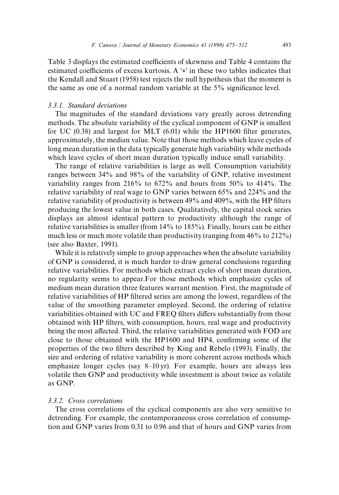Table 3 displays the estimated coefficients of skewness and Table 4 contains the estimated coefficients of excess kurtosis. A '*\**' in these two tables indicates that the Kendall and Stuart (1958) test rejects the null hypothesis that the moment is the same as one of a normal random variable at the 5% significance level.

#### *3.3.1. Standard deviations*

The magnitudes of the standard deviations vary greatly across detrending methods. The absolute variability of the cyclical component of GNP is smallest for UC (0.38) and largest for MLT (6.01) while the HP1600 filter generates, approximately, the median value. Note that those methods which leave cycles of long mean duration in the data typically generate high variability while methods which leave cycles of short mean duration typically induce small variability.

The range of relative variabilities is large as well. Consumption variability ranges between 34% and 98% of the variability of GNP, relative investment variability ranges from 216% to 672% and hours from 50% to 414%. The relative variability of real wage to GNP varies between 65% and 224% and the relative variability of productivity is between 49% and 409%, with the HP filters producing the lowest value in both cases. Qualitatively, the capital stock series displays an almost identical pattern to productivity although the range of relative variabilities is smaller (from 14% to 185%). Finally, hours can be either much less or much more volatile than productivity (ranging from 46% to 212%) (see also Baxter, 1991).

While it is relatively simple to group approaches when the absolute variability of GNP is considered, it is much harder to draw general conclusions regarding relative variabilities. For methods which extract cycles of short mean duration, no regularity seems to appear.For those methods which emphasize cycles of medium mean duration three features warrant mention. First, the magnitude of relative variabilities of HP filtered series are among the lowest, regardless of the value of the smoothing parameter employed. Second, the ordering of relative variabilities obtained with UC and FREQ filters differs substantially from those obtained with HP filters, with consumption, hours, real wage and productivity being the most affected. Third, the relative variabilities generated with FOD are close to those obtained with the HP1600 and HP4, confirming some of the properties of the two filters described by King and Rebelo (1993). Finally, the size and ordering of relative variability is more coherent across methods which emphasize longer cycles (say 8*—*10 yr). For example, hours are always less volatile then GNP and productivity while investment is about twice as volatile as GNP.

## *3.3.2. Cross correlations*

The cross correlations of the cyclical components are also very sensitive to detrending. For example, the contemporaneous cross correlation of consumption and GNP varies from 0.31 to 0.96 and that of hours and GNP varies from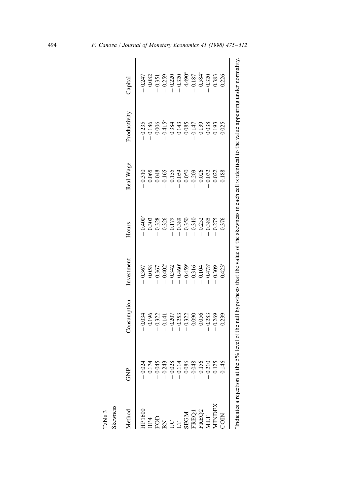| Skewness          |                                  |                     |                       |           |                                                                                                                                                               |                                                                           |                                                                      |
|-------------------|----------------------------------|---------------------|-----------------------|-----------|---------------------------------------------------------------------------------------------------------------------------------------------------------------|---------------------------------------------------------------------------|----------------------------------------------------------------------|
| Method            | GNP                              | Consumption         | Investment            | Hours     | Real Wage                                                                                                                                                     | Productivity                                                              | Capital                                                              |
| HP1600            | 0.024                            | $-0.034$            | 0.367                 | $-0.400*$ | 0.310                                                                                                                                                         |                                                                           | 0.247                                                                |
|                   |                                  |                     |                       | 0.303     |                                                                                                                                                               | $-0.235$<br>$-0.186$                                                      |                                                                      |
| HP4<br>FOD        | 0.174<br>0.045                   | $0.196$<br>$-0.322$ | 0.058                 | 0.328     | $0.065$<br>$0.048$                                                                                                                                            | 0.006                                                                     | 0.082                                                                |
| $\mathbf{K}$      | $-0.243$                         | $-0.141$            | $-0.402*$             | 0.326     | 0.165                                                                                                                                                         | $-0.415"$                                                                 |                                                                      |
| <b>BE</b>         | $-0.028$                         | $-0.207$            | $-0.342$<br>$-0.460*$ | $-0.179$  |                                                                                                                                                               |                                                                           |                                                                      |
|                   |                                  | $-0.253$            |                       | $-0.389$  |                                                                                                                                                               |                                                                           |                                                                      |
| SEGM              |                                  | $-0.322$            | $-0.459*$             | $-0.350$  |                                                                                                                                                               |                                                                           |                                                                      |
| FREQ1             | $-0.114$<br>$-0.086$<br>$-0.048$ | 0.090               | $-0.316$              | $-0.310$  | $-0.155$<br>$-0.059$<br>$-0.050$<br>$-0.209$                                                                                                                  | $\begin{array}{c} 0.384 \\ 0.143 \\ 0.085 \\ 0.085 \\ -0.147 \end{array}$ | $-0.259$<br>$-0.220$<br>$-0.320$<br>$+4.90$ <sup>*</sup><br>$+0.187$ |
| FREQ <sub>2</sub> | 0.156                            | 0.056               | $-0.104$              | $-0.252$  | 0.026                                                                                                                                                         | 0.139                                                                     | $0.584*$                                                             |
| MLT               | $-0.210$                         | $-0.283$            | $-0.478*$             | $-0.385$  | 0.032                                                                                                                                                         | 0.038                                                                     | $-0.320$                                                             |
| <b>MINDEX</b>     | 0.125                            | $-0.269$            | $-0.309$              | $-0.275$  | 0.022                                                                                                                                                         | 0.193                                                                     | 0.383                                                                |
| <b>ZOIN</b>       | 0.146                            | $-0.239$            | $0.423*$              | $-0.376$  | 0.188                                                                                                                                                         | 0.025                                                                     | 0.226                                                                |
|                   |                                  |                     |                       |           | Indicates a rejection at the 5% level of the null hypothesis that the value of the skewness in each cell is identical to the value appearing under normality. |                                                                           |                                                                      |

Table 3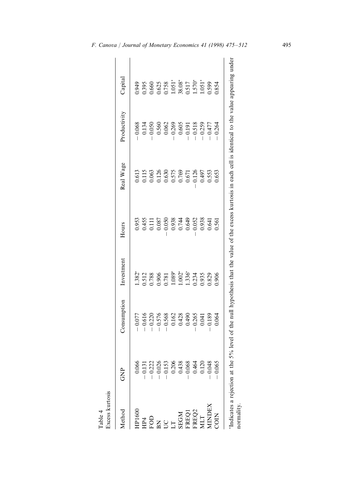| Excess kurtosis<br>Table 4 |                       |                                                                   |                                           |                |                                                                                                                                                            |              |                                                                                                             |
|----------------------------|-----------------------|-------------------------------------------------------------------|-------------------------------------------|----------------|------------------------------------------------------------------------------------------------------------------------------------------------------------|--------------|-------------------------------------------------------------------------------------------------------------|
| Method                     | GNP                   | Consumption                                                       | Investment                                | Hours          | Real Wage                                                                                                                                                  | Productivity | Capital                                                                                                     |
| HP1600                     | 0.066                 | $-0.077$                                                          | $.382*$                                   | 0.953          | 0.613                                                                                                                                                      | 0.068        | 0.949                                                                                                       |
| HP4                        | 0.131                 | $-0.616$                                                          |                                           |                |                                                                                                                                                            | 0.134        |                                                                                                             |
| FOD                        | 0.222                 | $-0.220$                                                          | 0.512<br>0.788<br>0.906<br>0.781<br>0.781 | 0.455<br>0.111 | $\begin{array}{c} 0.115 \\ 0.063 \\ 0.126 \\ 0.630 \\ 0.575 \\ 0.769 \end{array}$                                                                          | 0.050        | $\begin{array}{l} 0.395 \\ 0.660 \\ 0.625 \\ 0.758 \\ 1.051^* \\ 1.051^* \\ 38.08^* \\ 1.570^* \end{array}$ |
|                            | $-0.026$              |                                                                   |                                           | 0.087          |                                                                                                                                                            | 0.560        |                                                                                                             |
| ESE<br>E                   |                       | $\begin{array}{r} -0.576 \\ -0.568 \\ 0.162 \\ 0.428 \end{array}$ |                                           | 0.050          |                                                                                                                                                            | 0.062        |                                                                                                             |
|                            | $\frac{0.153}{0.206}$ |                                                                   |                                           | 0.938          |                                                                                                                                                            | $-0.269$     |                                                                                                             |
|                            | 0.438                 |                                                                   | $1.002*$                                  | 0.744          |                                                                                                                                                            | 0.605        |                                                                                                             |
| SEGM<br>FREQ1<br>FREQ2     | 0.068                 | 0.490                                                             |                                           | 0.649          | 0.671                                                                                                                                                      | $-0.191$     |                                                                                                             |
|                            | 0.464                 | $-0.265$                                                          | 1.336*                                    | 0.052          | 0.126                                                                                                                                                      | $-0.518$     |                                                                                                             |
| MLT                        | 0.120                 | 0.041                                                             | 0.935                                     | 0.938          | 0.497                                                                                                                                                      | $-0.259$     | $1.051*$                                                                                                    |
| MINDEX                     | 0.048                 | 0.189                                                             | 0.829                                     | 0.641          | 0.553                                                                                                                                                      | $-0.477$     | 0.599                                                                                                       |
| <b>NICC</b>                | 0.065                 | 0.064                                                             | 0.906                                     | 0.561          | 0.653                                                                                                                                                      | $-0.264$     | 0.854                                                                                                       |
| normality.                 |                       |                                                                   |                                           |                | "Indicates a rejection at the 5% level of the null hypothesis that the value of the excess kurtosis in each cell is identical to the value appearing under |              |                                                                                                             |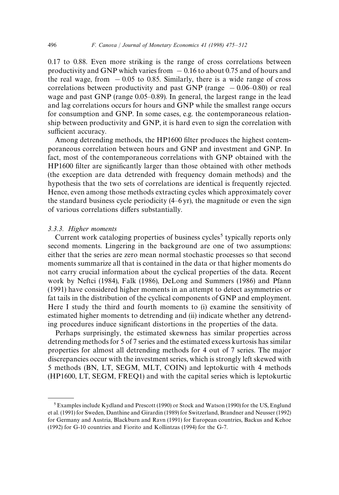0.17 to 0.88. Even more striking is the range of cross correlations between productivity and GNP which varies from  $-0.16$  to about 0.75 and of hours and the real wage, from  $-0.05$  to 0.85. Similarly, there is a wide range of cross correlations between productivity and past GNP (range  $-0.06-0.80$ ) or real wage and past GNP (range 0.05*—*0.89). In general, the largest range in the lead and lag correlations occurs for hours and GNP while the smallest range occurs for consumption and GNP. In some cases, e.g. the contemporaneous relationship between productivity and GNP, it is hard even to sign the correlation with sufficient accuracy.

Among detrending methods, the HP1600 filter produces the highest contemporaneous correlation between hours and GNP and investment and GNP. In fact, most of the contemporaneous correlations with GNP obtained with the HP1600 filter are significantly larger than those obtained with other methods (the exception are data detrended with frequency domain methods) and the hypothesis that the two sets of correlations are identical is frequently rejected. Hence, even among those methods extracting cycles which approximately cover the standard business cycle periodicity (4*—*6 yr), the magnitude or even the sign of various correlations differs substantially.

#### *3.3.3. Higher moments*

Current work cataloging properties of business cycles<sup>5</sup> typically reports only second moments. Lingering in the background are one of two assumptions: either that the series are zero mean normal stochastic processes so that second moments summarize all that is contained in the data or that higher moments do not carry crucial information about the cyclical properties of the data. Recent work by Neftci (1984), Falk (1986), DeLong and Summers (1986) and Pfann (1991) have considered higher moments in an attempt to detect asymmetries or fat tails in the distribution of the cyclical components of GNP and employment. Here I study the third and fourth moments to (i) examine the sensitivity of estimated higher moments to detrending and (ii) indicate whether any detrending procedures induce significant distortions in the properties of the data.

Perhaps surprisingly, the estimated skewness has similar properties across detrending methods for 5 of 7 series and the estimated excess kurtosis has similar properties for almost all detrending methods for 4 out of 7 series. The major discrepancies occur with the investment series, which is strongly left skewed with 5 methods (BN, LT, SEGM, MLT, COIN) and leptokurtic with 4 methods (HP1600, LT, SEGM, FREQ1) and with the capital series which is leptokurtic

<sup>5</sup>Examples include Kydland and Prescott (1990) or Stock and Watson (1990) for the US, Englund et al. (1991) for Sweden, Danthine and Girardin (1989) for Switzerland, Brandner and Neusser (1992) for Germany and Austria, Blackburn and Ravn (1991) for European countries, Backus and Kehoe (1992) for G-10 countries and Fiorito and Kollintzas (1994) for the G-7.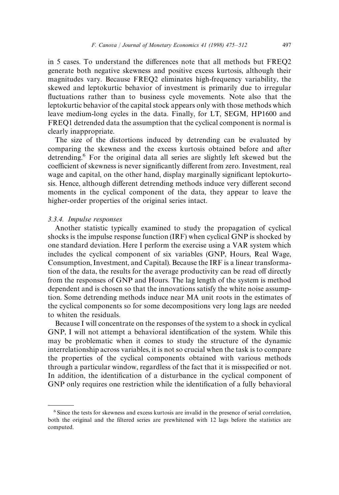in 5 cases. To understand the differences note that all methods but FREQ2 generate both negative skewness and positive excess kurtosis, although their magnitudes vary. Because FREQ2 eliminates high-frequency variability, the skewed and leptokurtic behavior of investment is primarily due to irregular fluctuations rather than to business cycle movements. Note also that the leptokurtic behavior of the capital stock appears only with those methods which leave medium-long cycles in the data. Finally, for LT, SEGM, HP1600 and FREQ1 detrended data the assumption that the cyclical component is normal is clearly inappropriate.

The size of the distortions induced by detrending can be evaluated by comparing the skewness and the excess kurtosis obtained before and after detrending.6 For the original data all series are slightly left skewed but the coefficient of skewness is never significantly different from zero. Investment, real wage and capital, on the other hand, display marginally significant leptokurtosis. Hence, although different detrending methods induce very different second moments in the cyclical component of the data, they appear to leave the higher-order properties of the original series intact.

# *3.3.4. Impulse responses*

Another statistic typically examined to study the propagation of cyclical shocks is the impulse response function (IRF) when cyclical GNP is shocked by one standard deviation. Here I perform the exercise using a VAR system which includes the cyclical component of six variables (GNP, Hours, Real Wage, Consumption, Investment, and Capital). Because the IRF is a linear transformation of the data, the results for the average productivity can be read off directly from the responses of GNP and Hours. The lag length of the system is method dependent and is chosen so that the innovations satisfy the white noise assumption. Some detrending methods induce near MA unit roots in the estimates of the cyclical components so for some decompositions very long lags are needed to whiten the residuals.

Because I will concentrate on the responses of the system to a shock in cyclical GNP, I will not attempt a behavioral identification of the system. While this may be problematic when it comes to study the structure of the dynamic interrelationship across variables, it is not so crucial when the task is to compare the properties of the cyclical components obtained with various methods through a particular window, regardless of the fact that it is misspecified or not. In addition, the identification of a disturbance in the cyclical component of GNP only requires one restriction while the identification of a fully behavioral

<sup>6</sup> Since the tests for skewness and excess kurtosis are invalid in the presence of serial correlation, both the original and the filtered series are prewhitened with 12 lags before the statistics are computed.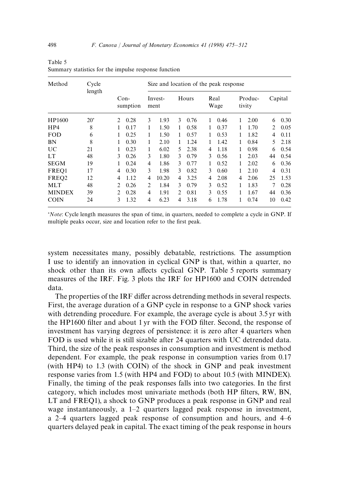| Method            | Cycle  |                |                    |                | Size and location of the peak response |                |       |   |              |   |                   |                |         |
|-------------------|--------|----------------|--------------------|----------------|----------------------------------------|----------------|-------|---|--------------|---|-------------------|----------------|---------|
|                   | length |                | $Con-$<br>sumption |                | Invest-<br>ment                        |                | Hours |   | Real<br>Wage |   | Produc-<br>tivity |                | Capital |
| HP1600            | $20^*$ | $\overline{c}$ | 0.28               | 3              | 1.93                                   | 3              | 0.76  | 1 | 0.46         | 1 | 2.00              | 6              | 0.30    |
| HP4               | 8      | 1              | 0.17               | 1              | 1.50                                   | 1              | 0.58  | 1 | 0.37         | 1 | 1.70              | $\mathfrak{D}$ | 0.05    |
| FOD               | 6      | 1              | 0.25               | 1              | 1.50                                   | 1              | 0.57  | 1 | 0.53         | 1 | 1.82              | 4              | 0.11    |
| BN                | 8      | 1              | 0.30               | 1              | 2.10                                   | 1              | 1.24  | 1 | 1.42         | 1 | 0.84              | 5              | 2.18    |
| UC                | 21     | 1              | 0.23               | 1              | 6.02                                   | 5              | 2.38  | 4 | 1.18         | 1 | 0.98              | 6              | 0.54    |
| LT                | 48     | 3              | 0.26               | 3              | 1.80                                   | 3              | 0.79  | 3 | 0.56         | 1 | 2.03              | 44             | 0.54    |
| <b>SEGM</b>       | 19     | 1              | 0.24               | 4              | 1.86                                   | 3              | 0.77  | 1 | 0.52         | 1 | 2.02              | 6              | 0.36    |
| FREO1             | 17     | $\overline{4}$ | 0.30               | 3              | 1.98                                   | 3              | 0.82  | 3 | 0.60         | 1 | 2.10              | 4              | 0.31    |
| FREO <sub>2</sub> | 12     | $\overline{4}$ | 1.12               | 4              | 10.20                                  | 4              | 3.25  | 4 | 2.08         | 4 | 2.06              | 25             | 1.53    |
| MLT               | 48     | $\overline{c}$ | 0.26               | $\mathfrak{D}$ | 1.84                                   | 3              | 0.79  | 3 | 0.52         | 1 | 1.83              | 7              | 0.28    |
| <b>MINDEX</b>     | 39     | $\mathfrak{D}$ | 0.28               | 4              | 1.91                                   | $\mathfrak{D}$ | 0.81  | 3 | 0.55         |   | 1.67              | 44             | 0.36    |
| <b>COIN</b>       | 24     | 3              | 1.32               | 4              | 6.23                                   | 4              | 3.18  | 6 | 1.78         |   | 0.74              | 10             | 0.42    |

Table 5 Summary statistics for the impulse response function

*\*Note*: Cycle length measures the span of time, in quarters, needed to complete a cycle in GNP. If multiple peaks occur, size and location refer to the first peak.

system necessitates many, possibly debatable, restrictions. The assumption I use to identify an innovation in cyclical GNP is that, within a quarter, no shock other than its own affects cyclical GNP. Table 5 reports summary measures of the IRF. Fig. 3 plots the IRF for HP1600 and COIN detrended data.

The properties of the IRF differ across detrending methods in several respects. First, the average duration of a GNP cycle in response to a GNP shock varies with detrending procedure. For example, the average cycle is about 3.5 yr with the HP1600 filter and about 1 yr with the FOD filter. Second, the response of investment has varying degrees of persistence: it is zero after 4 quarters when FOD is used while it is still sizable after 24 quarters with UC detrended data. Third, the size of the peak responses in consumption and investment is method dependent. For example, the peak response in consumption varies from 0.17 (with HP4) to 1.3 (with COIN) of the shock in GNP and peak investment response varies from 1.5 (with HP4 and FOD) to about 10.5 (with MINDEX). Finally, the timing of the peak responses falls into two categories. In the first category, which includes most univariate methods (both HP filters, RW, BN, LT and FREQ1), a shock to GNP produces a peak response in GNP and real wage instantaneously, a 1*—*2 quarters lagged peak response in investment, a 2*—*4 quarters lagged peak response of consumption and hours, and 4*—*6 quarters delayed peak in capital. The exact timing of the peak response in hours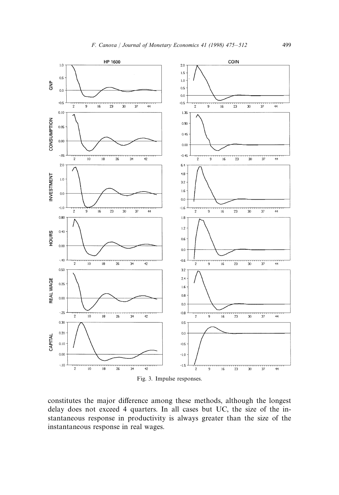

Fig. 3. Impulse responses.

constitutes the major difference among these methods, although the longest delay does not exceed 4 quarters. In all cases but UC, the size of the instantaneous response in productivity is always greater than the size of the instantaneous response in real wages.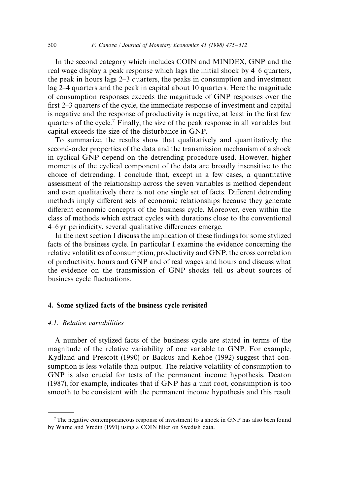In the second category which includes COIN and MINDEX, GNP and the real wage display a peak response which lags the initial shock by 4*—*6 quarters, the peak in hours lags 2*—*3 quarters, the peaks in consumption and investment lag 2*—*4 quarters and the peak in capital about 10 quarters. Here the magnitude of consumption responses exceeds the magnitude of GNP responses over the first 2*—*3 quarters of the cycle, the immediate response of investment and capital is negative and the response of productivity is negative, at least in the first few quarters of the cycle.7 Finally, the size of the peak response in all variables but capital exceeds the size of the disturbance in GNP.

To summarize, the results show that qualitatively and quantitatively the second-order properties of the data and the transmission mechanism of a shock in cyclical GNP depend on the detrending procedure used. However, higher moments of the cyclical component of the data are broadly insensitive to the choice of detrending. I conclude that, except in a few cases, a quantitative assessment of the relationship across the seven variables is method dependent and even qualitatively there is not one single set of facts. Different detrending methods imply different sets of economic relationships because they generate different economic concepts of the business cycle. Moreover, even within the class of methods which extract cycles with durations close to the conventional 4*—*6 yr periodicity, several qualitative differences emerge.

In the next section I discuss the implication of these findings for some stylized facts of the business cycle. In particular I examine the evidence concerning the relative volatilities of consumption, productivity and GNP, the cross correlation of productivity, hours and GNP and of real wages and hours and discuss what the evidence on the transmission of GNP shocks tell us about sources of business cycle fluctuations.

## 4. Some stylized facts of the business cycle revisited

#### *4.1. Relative variabilities*

A number of stylized facts of the business cycle are stated in terms of the magnitude of the relative variability of one variable to GNP. For example, Kydland and Prescott (1990) or Backus and Kehoe (1992) suggest that consumption is less volatile than output. The relative volatility of consumption to GNP is also crucial for tests of the permanent income hypothesis. Deaton (1987), for example, indicates that if GNP has a unit root, consumption is too smooth to be consistent with the permanent income hypothesis and this result

<sup>7</sup>The negative contemporaneous response of investment to a shock in GNP has also been found by Warne and Vredin (1991) using a COIN filter on Swedish data.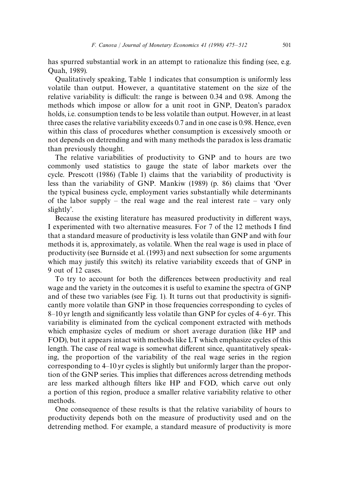has spurred substantial work in an attempt to rationalize this finding (see, e.g. Quah, 1989).

Qualitatively speaking, Table 1 indicates that consumption is uniformly less volatile than output. However, a quantitative statement on the size of the relative variability is difficult: the range is between 0.34 and 0.98. Among the methods which impose or allow for a unit root in GNP, Deaton's paradox holds, i.e. consumption tends to be less volatile than output. However, in at least three cases the relative variability exceeds 0.7 and in one case is 0.98. Hence, even within this class of procedures whether consumption is excessively smooth or not depends on detrending and with many methods the paradox is less dramatic than previously thought.

The relative variabilities of productivity to GNP and to hours are two commonly used statistics to gauge the state of labor markets over the cycle. Prescott (1986) (Table 1) claims that the variability of productivity is less than the variability of GNP. Mankiw (1989) (p. 86) claims that 'Over the typical business cycle, employment varies substantially while determinants of the labor supply *—* the real wage and the real interest rate *—* vary only slightly'.

Because the existing literature has measured productivity in different ways, I experimented with two alternative measures. For 7 of the 12 methods I find that a standard measure of productivity is less volatile than GNP and with four methods it is, approximately, as volatile. When the real wage is used in place of productivity (see Burnside et al. (1993) and next subsection for some arguments which may justify this switch) its relative variability exceeds that of GNP in 9 out of 12 cases.

To try to account for both the differences between productivity and real wage and the variety in the outcomes it is useful to examine the spectra of GNP and of these two variables (see Fig. 1). It turns out that productivity is significantly more volatile than GNP in those frequencies corresponding to cycles of 8*—*10 yr length and significantly less volatile than GNP for cycles of 4*—*6 yr. This variability is eliminated from the cyclical component extracted with methods which emphasize cycles of medium or short average duration (like HP and FOD), but it appears intact with methods like LT which emphasize cycles of this length. The case of real wage is somewhat different since, quantitatively speaking, the proportion of the variability of the real wage series in the region corresponding to 4*—*10 yr cycles is slightly but uniformly larger than the proportion of the GNP series. This implies that differences across detrending methods are less marked although filters like HP and FOD, which carve out only a portion of this region, produce a smaller relative variability relative to other methods.

One consequence of these results is that the relative variability of hours to productivity depends both on the measure of productivity used and on the detrending method. For example, a standard measure of productivity is more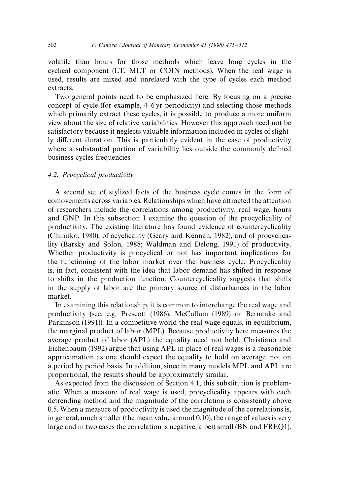volatile than hours for those methods which leave long cycles in the cyclical component (LT, MLT or COIN methods). When the real wage is used, results are mixed and unrelated with the type of cycles each method extracts.

Two general points need to be emphasized here. By focusing on a precise concept of cycle (for example, 4*—*6 yr periodicity) and selecting those methods which primarily extract these cycles, it is possible to produce a more uniform view about the size of relative variabilities. However this approach need not be satisfactory because it neglects valuable information included in cycles of slightly different duration. This is particularly evident in the case of productivity where a substantial portion of variability lies outside the commonly defined business cycles frequencies.

#### *4.2. Procyclical productivity*

A second set of stylized facts of the business cycle comes in the form of comovements across variables. Relationships which have attracted the attention of researchers include the correlations among productivity, real wage, hours and GNP. In this subsection I examine the question of the procyclicality of productivity. The existing literature has found evidence of countercyclicality (Chirinko, 1980), of acyclicality (Geary and Kennan, 1982), and of procyclicality (Barsky and Solon, 1988; Waldman and Delong, 1991) of productivity. Whether productivity is procyclical or not has important implications for the functioning of the labor market over the business cycle. Procyclicality is, in fact, consistent with the idea that labor demand has shifted in response to shifts in the production function. Countercyclicality suggests that shifts in the supply of labor are the primary source of disturbances in the labor market.

In examining this relationship, it is common to interchange the real wage and productivity (see, e.g. Prescott (1986), McCullum (1989) or Bernanke and Parkinson (1991)). In a competitive world the real wage equals, in equilibrium, the marginal product of labor (MPL). Because productivity here measures the average product of labor (APL) the equality need not hold. Christiano and Eichenbaum (1992) argue that using APL in place of real wages is a reasonable approximation as one should expect the equality to hold on average, not on a period by period basis. In addition, since in many models MPL and APL are proportional, the results should be approximately similar.

As expected from the discussion of Section 4.1, this substitution is problematic. When a measure of real wage is used, procyclicality appears with each detrending method and the magnitude of the correlation is consistently above 0.5. When a measure of productivity is used the magnitude of the correlations is, in general, much smaller (the mean value around 0.10), the range of values is very large and in two cases the correlation is negative, albeit small (BN and FREQ1).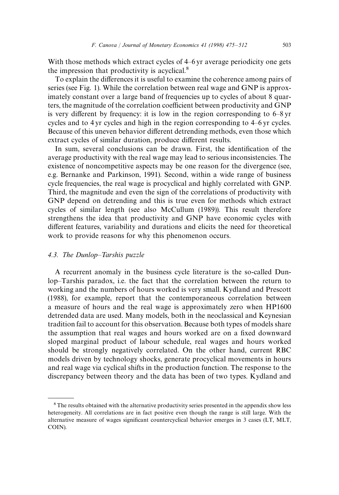With those methods which extract cycles of 4*—*6 yr average periodicity one gets the impression that productivity is acyclical.8

To explain the differences it is useful to examine the coherence among pairs of series (see Fig. 1). While the correlation between real wage and GNP is approximately constant over a large band of frequencies up to cycles of about 8 quarters, the magnitude of the correlation coefficient between productivity and GNP is very different by frequency: it is low in the region corresponding to 6*—*8 yr cycles and to 4 yr cycles and high in the region corresponding to 4*—*6 yr cycles. Because of this uneven behavior different detrending methods, even those which extract cycles of similar duration, produce different results.

In sum, several conclusions can be drawn. First, the identification of the average productivity with the real wage may lead to serious inconsistencies. The existence of noncompetitive aspects may be one reason for the divergence (see, e.g. Bernanke and Parkinson, 1991). Second, within a wide range of business cycle frequencies, the real wage is procyclical and highly correlated with GNP. Third, the magnitude and even the sign of the correlations of productivity with GNP depend on detrending and this is true even for methods which extract cycles of similar length (see also McCullum (1989)). This result therefore strengthens the idea that productivity and GNP have economic cycles with different features, variability and durations and elicits the need for theoretical work to provide reasons for why this phenomenon occurs.

## 4.3. The Dunlop-Tarshis puzzle

A recurrent anomaly in the business cycle literature is the so-called Dunlop*—*Tarshis paradox, i.e. the fact that the correlation between the return to working and the numbers of hours worked is very small. Kydland and Prescott (1988), for example, report that the contemporaneous correlation between a measure of hours and the real wage is approximately zero when HP1600 detrended data are used. Many models, both in the neoclassical and Keynesian tradition fail to account for this observation. Because both types of models share the assumption that real wages and hours worked are on a fixed downward sloped marginal product of labour schedule, real wages and hours worked should be strongly negatively correlated. On the other hand, current RBC models driven by technology shocks, generate procyclical movements in hours and real wage via cyclical shifts in the production function. The response to the discrepancy between theory and the data has been of two types. Kydland and

<sup>&</sup>lt;sup>8</sup>The results obtained with the alternative productivity series presented in the appendix show less heterogeneity. All correlations are in fact positive even though the range is still large. With the alternative measure of wages significant countercyclical behavior emerges in 3 cases (LT, MLT, COIN).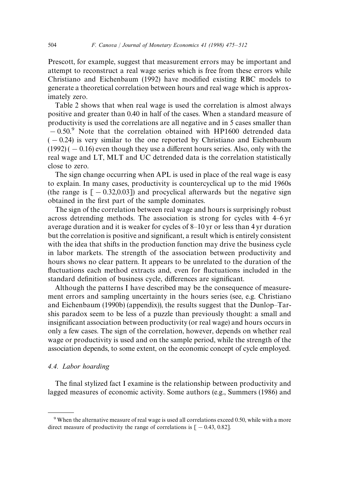Prescott, for example, suggest that measurement errors may be important and attempt to reconstruct a real wage series which is free from these errors while Christiano and Eichenbaum (1992) have modified existing RBC models to generate a theoretical correlation between hours and real wage which is approximately zero.

Table 2 shows that when real wage is used the correlation is almost always positive and greater than 0.40 in half of the cases. When a standard measure of productivity is used the correlations are all negative and in 5 cases smaller than  $-0.50$ <sup>9</sup> Note that the correlation obtained with HP1600 detrended data  $(-0.24)$  is very similar to the one reported by Christiano and Eichenbaum  $(1992)$  ( $-0.16$ ) even though they use a different hours series. Also, only with the real wage and LT, MLT and UC detrended data is the correlation statistically close to zero.

The sign change occurring when APL is used in place of the real wage is easy to explain. In many cases, productivity is countercyclical up to the mid 1960s (the range is  $[-0.32,0.03]$ ) and procyclical afterwards but the negative sign obtained in the first part of the sample dominates.

The sign of the correlation between real wage and hours is surprisingly robust across detrending methods. The association is strong for cycles with 4*—*6 yr average duration and it is weaker for cycles of 8*—*10 yr or less than 4 yr duration but the correlation is positive and significant, a result which is entirely consistent with the idea that shifts in the production function may drive the business cycle in labor markets. The strength of the association between productivity and hours shows no clear pattern. It appears to be unrelated to the duration of the fluctuations each method extracts and, even for fluctuations included in the standard definition of business cycle, differences are significant.

Although the patterns I have described may be the consequence of measurement errors and sampling uncertainty in the hours series (see, e.g. Christiano and Eichenbaum (1990b) (appendix)), the results suggest that the Dunlop*—*Tarshis paradox seem to be less of a puzzle than previously thought: a small and insignificant association between productivity (or real wage) and hours occurs in only a few cases. The sign of the correlation, however, depends on whether real wage or productivity is used and on the sample period, while the strength of the association depends, to some extent, on the economic concept of cycle employed.

#### *4.4. Labor hoarding*

The final stylized fact I examine is the relationship between productivity and lagged measures of economic activity. Some authors (e.g., Summers (1986) and

<sup>9</sup>When the alternative measure of real wage is used all correlations exceed 0.50, while with a more direct measure of productivity the range of correlations is  $[-0.43, 0.82]$ .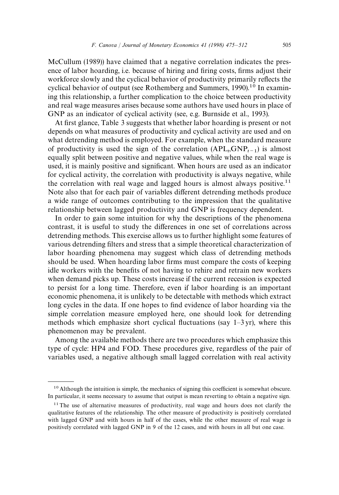McCullum (1989)) have claimed that a negative correlation indicates the presence of labor hoarding, i.e. because of hiring and firing costs, firms adjust their workforce slowly and the cyclical behavior of productivity primarily reflects the cyclical behavior of output (see Rothemberg and Summers,  $1990$ ).<sup>10</sup> In examining this relationship, a further complication to the choice between productivity and real wage measures arises because some authors have used hours in place of GNP as an indicator of cyclical activity (see, e.g. Burnside et al., 1993).

At first glance, Table 3 suggests that whether labor hoarding is present or not depends on what measures of productivity and cyclical activity are used and on what detrending method is employed. For example, when the standard measure of productivity is used the sign of the correlation  $(APL_t, GNP_{t-1})$  is almost equally split between positive and negative values, while when the real wage is used, it is mainly positive and significant. When hours are used as an indicator for cyclical activity, the correlation with productivity is always negative, while the correlation with real wage and lagged hours is almost always positive.<sup>11</sup> Note also that for each pair of variables different detrending methods produce a wide range of outcomes contributing to the impression that the qualitative relationship between lagged productivity and GNP is frequency dependent.

In order to gain some intuition for why the descriptions of the phenomena contrast, it is useful to study the differences in one set of correlations across detrending methods. This exercise allows us to further highlight some features of various detrending filters and stress that a simple theoretical characterization of labor hoarding phenomena may suggest which class of detrending methods should be used. When hoarding labor firms must compare the costs of keeping idle workers with the benefits of not having to rehire and retrain new workers when demand picks up. These costs increase if the current recession is expected to persist for a long time. Therefore, even if labor hoarding is an important economic phenomena, it is unlikely to be detectable with methods which extract long cycles in the data. If one hopes to find evidence of labor hoarding via the simple correlation measure employed here, one should look for detrending methods which emphasize short cyclical fluctuations (say 1*—*3 yr), where this phenomenon may be prevalent.

Among the available methods there are two procedures which emphasize this type of cycle: HP4 and FOD. These procedures give, regardless of the pair of variables used, a negative although small lagged correlation with real activity

 $10$  Although the intuition is simple, the mechanics of signing this coefficient is somewhat obscure. In particular, it seems necessary to assume that output is mean reverting to obtain a negative sign.

 $11$ The use of alternative measures of productivity, real wage and hours does not clarify the qualitative features of the relationship. The other measure of productivity is positively correlated with lagged GNP and with hours in half of the cases, while the other measure of real wage is positively correlated with lagged GNP in 9 of the 12 cases, and with hours in all but one case.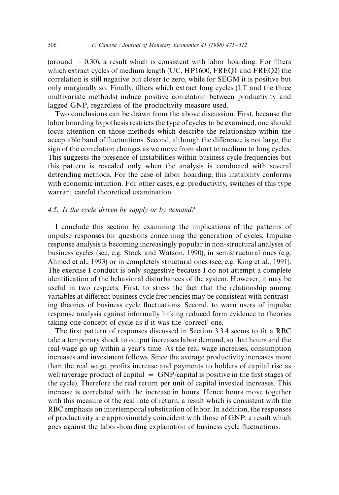(around  $-0.30$ ), a result which is consistent with labor hoarding. For filters which extract cycles of medium length (UC, HP1600, FREQ1 and FREQ2) the correlation is still negative but closer to zero, while for SEGM it is positive but only marginally so. Finally, filters which extract long cycles (LT and the three multivariate methods) induce positive correlation between productivity and lagged GNP, regardless of the productivity measure used.

Two conclusions can be drawn from the above discussion. First, because the labor hoarding hypothesis restricts the type of cycles to be examined, one should focus attention on those methods which describe the relationship within the acceptable band of fluctuations. Second, although the difference is not large, the sign of the correlation changes as we move from short to medium to long cycles. This suggests the presence of instabilities within business cycle frequencies but this pattern is revealed only when the analysis is conducted with several detrending methods. For the case of labor hoarding, this instability conforms with economic intuition. For other cases, e.g. productivity, switches of this type warrant careful theoretical examination.

## *4.5. Is the cycle driven by supply or by demand?*

I conclude this section by examining the implications of the patterns of impulse responses for questions concerning the generation of cycles. Impulse response analysis is becoming increasingly popular in non-structural analyses of business cycles (see, e.g. Stock and Watson, 1990), in semistructural ones (e.g. Ahmed et al., 1993) or in completely structural ones (see, e.g. King et al., 1991). The exercise I conduct is only suggestive because I do not attempt a complete identification of the behavioral disturbances of the system. However, it may be useful in two respects. First, to stress the fact that the relationship among variables at different business cycle frequencies may be consistent with contrasting theories of business cycle fluctuations. Second, to warn users of impulse response analysis against informally linking reduced form evidence to theories taking one concept of cycle as if it was the 'correct' one.

The first pattern of responses discussed in Section 3.3.4 seems to fit a RBC tale: a temporary shock to output increases labor demand, so that hours and the real wage go up within a year's time. As the real wage increases, consumption increases and investment follows. Since the average productivity increases more than the real wage, profits increase and payments to holders of capital rise as well (average product of capital  $=$  GNP/capital is positive in the first stages of the cycle). Therefore the real return per unit of capital invested increases. This increase is correlated with the increase in hours. Hence hours move together with this measure of the real rate of return, a result which is consistent with the RBC emphasis on intertemporal substitution of labor. In addition, the responses of productivity are approximately coincident with those of GNP, a result which goes against the labor-hoarding explanation of business cycle fluctuations.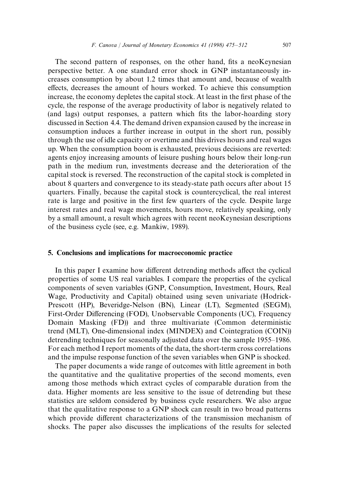The second pattern of responses, on the other hand, fits a neoKeynesian perspective better. A one standard error shock in GNP instantaneously increases consumption by about 1.2 times that amount and, because of wealth effects, decreases the amount of hours worked. To achieve this consumption increase, the economy depletes the capital stock. At least in the first phase of the cycle, the response of the average productivity of labor is negatively related to (and lags) output responses, a pattern which fits the labor-hoarding story discussed in Section 4.4. The demand driven expansion caused by the increase in consumption induces a further increase in output in the short run, possibly through the use of idle capacity or overtime and this drives hours and real wages up. When the consumption boom is exhausted, previous decisions are reverted: agents enjoy increasing amounts of leisure pushing hours below their long-run path in the medium run, investments decrease and the deterioration of the capital stock is reversed. The reconstruction of the capital stock is completed in about 8 quarters and convergence to its steady-state path occurs after about 15 quarters. Finally, because the capital stock is countercyclical, the real interest rate is large and positive in the first few quarters of the cycle. Despite large interest rates and real wage movements, hours move, relatively speaking, only by a small amount, a result which agrees with recent neoKeynesian descriptions of the business cycle (see, e.g. Mankiw, 1989).

## 5. Conclusions and implications for macroeconomic practice

In this paper I examine how different detrending methods affect the cyclical properties of some US real variables. I compare the properties of the cyclical components of seven variables (GNP, Consumption, Investment, Hours, Real Wage, Productivity and Capital) obtained using seven univariate (Hodrick-Prescott (HP), Beveridge-Nelson (BN), Linear (LT), Segmented (SEGM), First-Order Differencing (FOD), Unobservable Components (UC), Frequency Domain Masking (FD)) and three multivariate (Common deterministic trend (MLT), One-dimensional index (MINDEX) and Cointegration (COIN)) detrending techniques for seasonally adjusted data over the sample 1955*—*1986. For each method I report moments of the data, the short-term cross correlations and the impulse response function of the seven variables when GNP is shocked.

The paper documents a wide range of outcomes with little agreement in both the quantitative and the qualitative properties of the second moments, even among those methods which extract cycles of comparable duration from the data. Higher moments are less sensitive to the issue of detrending but these statistics are seldom considered by business cycle researchers. We also argue that the qualitative response to a GNP shock can result in two broad patterns which provide different characterizations of the transmission mechanism of shocks. The paper also discusses the implications of the results for selected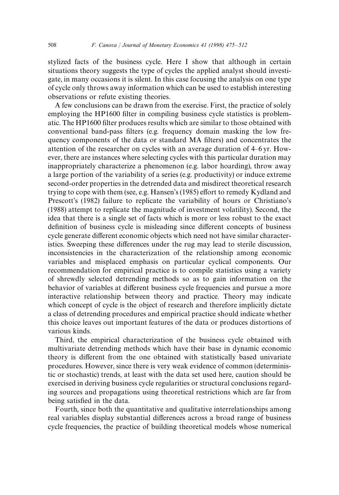stylized facts of the business cycle. Here I show that although in certain situations theory suggests the type of cycles the applied analyst should investigate, in many occasions it is silent. In this case focusing the analysis on one type of cycle only throws away information which can be used to establish interesting observations or refute existing theories.

A few conclusions can be drawn from the exercise. First, the practice of solely employing the HP1600 filter in compiling business cycle statistics is problematic. The HP1600 filter produces results which are similar to those obtained with conventional band-pass filters (e.g. frequency domain masking the low frequency components of the data or standard MA filters) and concentrates the attention of the researcher on cycles with an average duration of 4*—*6 yr. However, there are instances where selecting cycles with this particular duration may inappropriately characterize a phenomenon (e.g. labor hoarding), throw away a large portion of the variability of a series (e.g. productivity) or induce extreme second-order properties in the detrended data and misdirect theoretical research trying to cope with them (see, e.g. Hansen's (1985) effort to remedy Kydland and Prescott's (1982) failure to replicate the variability of hours or Christiano's (1988) attempt to replicate the magnitude of investment volatility). Second, the idea that there is a single set of facts which is more or less robust to the exact definition of business cycle is misleading since different concepts of business cycle generate different economic objects which need not have similar characteristics. Sweeping these differences under the rug may lead to sterile discussion, inconsistencies in the characterization of the relationship among economic variables and misplaced emphasis on particular cyclical components. Our recommendation for empirical practice is to compile statistics using a variety of shrewdly selected detrending methods so as to gain information on the behavior of variables at different business cycle frequencies and pursue a more interactive relationship between theory and practice. Theory may indicate which concept of cycle is the object of research and therefore implicitly dictate a class of detrending procedures and empirical practice should indicate whether this choice leaves out important features of the data or produces distortions of various kinds.

Third, the empirical characterization of the business cycle obtained with multivariate detrending methods which have their base in dynamic economic theory is different from the one obtained with statistically based univariate procedures. However, since there is very weak evidence of common (deterministic or stochastic) trends, at least with the data set used here, caution should be exercised in deriving business cycle regularities or structural conclusions regarding sources and propagations using theoretical restrictions which are far from being satisfied in the data.

Fourth, since both the quantitative and qualitative interrelationships among real variables display substantial differences across a broad range of business cycle frequencies, the practice of building theoretical models whose numerical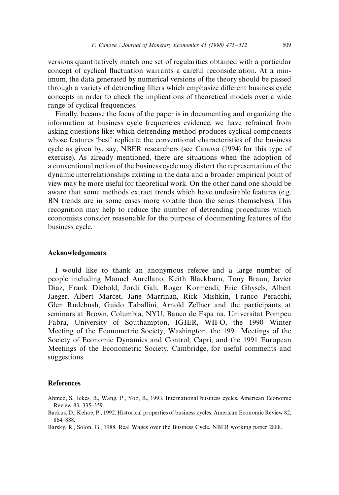versions quantitatively match one set of regularities obtained with a particular concept of cyclical fluctuation warrants a careful reconsideration. At a minimum, the data generated by numerical versions of the theory should be passed through a variety of detrending filters which emphasize different business cycle concepts in order to check the implications of theoretical models over a wide range of cyclical frequencies.

Finally, because the focus of the paper is in documenting and organizing the information at business cycle frequencies evidence, we have refrained from asking questions like: which detrending method produces cyclical components whose features 'best' replicate the conventional characteristics of the business cycle as given by, say, NBER researchers (see Canova (1994) for this type of exercise). As already mentioned, there are situations when the adoption of a conventional notion of the business cycle may distort the representation of the dynamic interrelationships existing in the data and a broader empirical point of view may be more useful for theoretical work. On the other hand one should be aware that some methods extract trends which have undesirable features (e.g. BN trends are in some cases more volatile than the series themselves). This recognition may help to reduce the number of detrending procedures which economists consider reasonable for the purpose of documenting features of the business cycle.

# Acknowledgements

I would like to thank an anonymous referee and a large number of people including Manuel Aurellano, Keith Blackburn, Tony Braun, Javier Diaz, Frank Diebold, Jordi Gali, Roger Kormendi, Eric Ghysels, Albert Jaeger, Albert Marcet, Jane Marrinan, Rick Mishkin, Franco Peracchi, Glen Rudebush, Guido Taballini, Arnold Zellner and the participants at seminars at Brown, Columbia, NYU, Banco de Espa na, Universitat Pompeu Fabra, University of Southampton, IGIER, WIFO, the 1990 Winter Meeting of the Econometric Society, Washington, the 1991 Meetings of the Society of Economic Dynamics and Control, Capri, and the 1991 European Meetings of the Econometric Society, Cambridge, for useful comments and suggestions.

## References

- Ahmed, S., Ickes, B., Wang, P., Yoo, B., 1993. International business cycles. American Economic Review 83, 335*—*359.
- Backus, D., Kehoe, P., 1992. Historical properties of business cycles. American Economic Review 82, 864*—*888.

Barsky, R., Solon, G., 1988. Real Wages over the Business Cycle. NBER working paper 2888.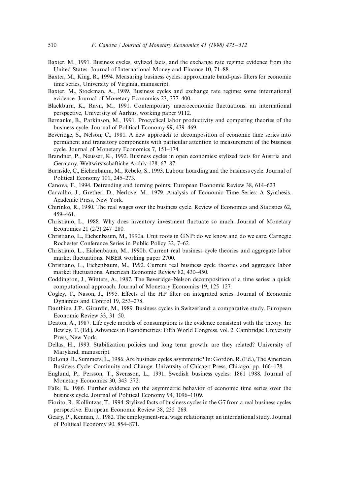- Baxter, M., 1991. Business cycles, stylized facts, and the exchange rate regime: evidence from the United States. Journal of International Money and Finance 10, 71*—*88.
- Baxter, M., King, R., 1994. Measuring business cycles: approximate band-pass filters for economic time series, University of Virginia, manuscript.
- Baxter, M., Stockman, A., 1989. Business cycles and exchange rate regime: some international evidence. Journal of Monetary Economics 23, 377*—*400.
- Blackburn, K., Ravn, M., 1991. Contemporary macroeconomic fluctuations: an international perspective, University of Aarhus, working paper 9112.
- Bernanke, B., Parkinson, M., 1991. Procyclical labor productivity and competing theories of the business cycle. Journal of Political Economy 99, 439*—*469.
- Beveridge, S., Nelson, C., 1981. A new approach to decomposition of economic time series into permanent and transitory components with particular attention to measurement of the business cycle. Journal of Monetary Economics 7, 151*—*174.
- Brandner, P., Neusser, K., 1992. Business cycles in open economies: stylized facts for Austria and Germany. Weltwirstschaftiche Archiv 128, 67*—*87.
- Burnside, C., Eichenbaum, M., Rebelo, S., 1993. Labour hoarding and the business cycle. Journal of Political Economy 101, 245*—*273.
- Canova, F., 1994. Detrending and turning points. European Economic Review 38, 614*—*623.
- Carvalho, J., Grether, D., Nerlove, M., 1979. Analysis of Economic Time Series: A Synthesis. Academic Press, New York.
- Chirinko, R., 1980. The real wages over the business cycle. Review of Economics and Statistics 62, 459*—*461.
- Christiano, L., 1988. Why does inventory investment fluctuate so much. Journal of Monetary Economics 21 (2/3) 247*—*280.
- Christiano, L., Eichenbaum, M., 1990a. Unit roots in GNP: do we know and do we care. Carnegie Rochester Conference Series in Public Policy 32, 7*—*62.
- Christiano, L., Eichenbaum, M., 1990b. Current real business cycle theories and aggregate labor market fluctuations. NBER working paper 2700.
- Christiano, L., Eichenbaum, M., 1992. Current real business cycle theories and aggregate labor market fluctuations. American Economic Review 82, 430*—*450.
- Coddington, J., Winters, A., 1987. The Beveridge*—*Nelson decomposition of a time series: a quick computational approach. Journal of Monetary Economics 19, 125*—*127.
- Cogley, T., Nason, J., 1995. Effects of the HP filter on integrated series. Journal of Economic Dynamics and Control 19, 253*—*278.
- Danthine, J.P., Girardin, M., 1989. Business cycles in Switzerland: a comparative study. European Economic Review 33, 31*—*50.
- Deaton, A., 1987. Life cycle models of consumption: is the evidence consistent with the theory. In: Bewley, T. (Ed.), Advances in Econometrics: Fifth World Congress, vol. 2. Cambridge University Press, New York.
- Dellas, H., 1993. Stabilization policies and long term growth: are they related? University of Maryland, manuscript.
- DeLong, B., Summers, L., 1986. Are business cycles asymmetric? In: Gordon, R. (Ed.), The American Business Cycle: Continuity and Change. University of Chicago Press, Chicago, pp. 166*—*178.
- Englund, P., Persson, T., Svensson, L., 1991. Swedish business cycles: 1861*—*1988. Journal of Monetary Economics 30, 343*—*372.
- Falk, B., 1986. Further evidence on the asymmetric behavior of economic time series over the business cycle. Journal of Political Economy 94, 1096*—*1109.
- Fiorito, R., Kollintzas, T., 1994. Stylized facts of business cycles in the G7 from a real business cycles perspective. European Economic Review 38, 235*—*269.
- Geary, P., Kennan, J., 1982. The employment-real wage relationship: an international study. Journal of Political Economy 90, 854*—*871.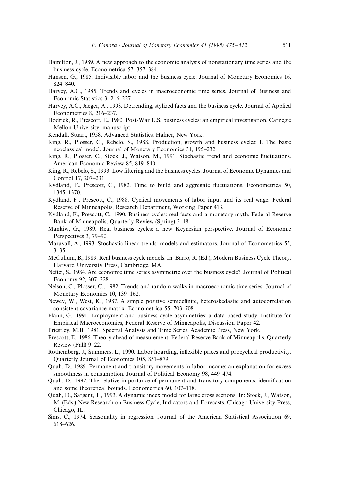- Hamilton, J., 1989. A new approach to the economic analysis of nonstationary time series and the business cycle. Econometrica 57, 357*—*384.
- Hansen, G., 1985. Indivisible labor and the business cycle. Journal of Monetary Economics 16, 824*—*840.
- Harvey, A.C., 1985. Trends and cycles in macroeconomic time series. Journal of Business and Economic Statistics 3, 216*—*227.
- Harvey, A.C., Jaeger, A., 1993. Detrending, stylized facts and the business cycle. Journal of Applied Econometrics 8, 216*—*237.
- Hodrick, R., Prescott, E., 1980. Post-War U.S. business cycles: an empirical investigation. Carnegie Mellon University, manuscript.
- Kendall, Stuart, 1958. Advanced Statistics. Hafner, New York.
- King, R., Plosser, C., Rebelo, S., 1988. Production, growth and business cycles: I. The basic neoclassical model. Journal of Monetary Economics 31, 195*—*232.
- King, R., Plosser, C., Stock, J., Watson, M., 1991. Stochastic trend and economic fluctuations. American Economic Review 85, 819*—*840.
- King, R., Rebelo, S., 1993. Low filtering and the business cycles. Journal of Economic Dynamics and Control 17, 207*—*231.
- Kydland, F., Prescott, C., 1982. Time to build and aggregate fluctuations. Econometrica 50, 1345*—*1370.
- Kydland, F., Prescott, C., 1988. Cyclical movements of labor input and its real wage. Federal Reserve of Minneapolis, Research Department, Working Paper 413.
- Kydland, F., Prescott, C., 1990. Business cycles: real facts and a monetary myth. Federal Reserve Bank of Minneapolis, Quarterly Review (Spring) 3*—*18.
- Mankiw, G., 1989. Real business cycles: a new Keynesian perspective. Journal of Economic Perspectives 3, 79*—*90.
- Maravall, A., 1993. Stochastic linear trends: models and estimators. Journal of Econometrics 55, 3*—*35.
- McCullum, B., 1989. Real business cycle models. In: Barro, R. (Ed.), Modern Business Cycle Theory. Harvard University Press, Cambridge, MA.
- Neftci, S., 1984. Are economic time series asymmetric over the business cycle?. Journal of Political Economy 92, 307*—*328.
- Nelson, C., Plosser, C., 1982. Trends and random walks in macroeconomic time series. Journal of Monetary Economics 10, 139*—*162.
- Newey, W., West, K., 1987. A simple positive semidefinite, heteroskedastic and autocorrelation consistent covariance matrix. Econometrica 55, 703*—*708.
- Pfann, G., 1991. Employment and business cycle asymmetries: a data based study. Institute for Empirical Macroeconomics, Federal Reserve of Minneapolis, Discussion Paper 42.
- Priestley, M.B., 1981. Spectral Analysis and Time Series. Academic Press, New York.
- Prescott, E., 1986. Theory ahead of measurement. Federal Reserve Bank of Minneapolis, Quarterly Review (Fall) 9*—*22.
- Rothemberg, J., Summers, L., 1990. Labor hoarding, inflexible prices and procyclical productivity. Quarterly Journal of Economics 105, 851*—*879.
- Quah, D., 1989. Permanent and transitory movements in labor income: an explanation for excess smoothness in consumption. Journal of Political Economy 98, 449*—*474.
- Quah, D., 1992. The relative importance of permanent and transitory components: identification and some theoretical bounds. Econometrica 60, 107*—*118.
- Quah, D., Sargent, T., 1993. A dynamic index model for large cross sections. In: Stock, J., Watson, M. (Eds.) New Research on Business Cycle, Indicators and Forecasts. Chicago University Press, Chicago, IL.
- Sims, C., 1974. Seasonality in regression. Journal of the American Statistical Association 69, 618*—*626.